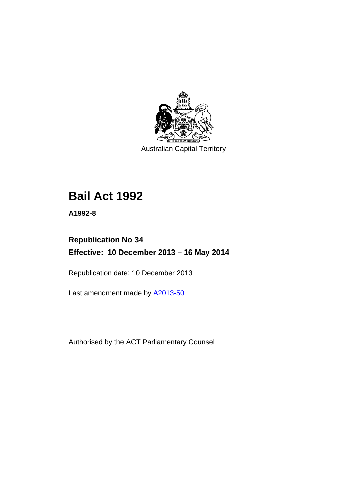

Australian Capital Territory

# **Bail Act 1992**

**A1992-8** 

# **Republication No 34 Effective: 10 December 2013 – 16 May 2014**

Republication date: 10 December 2013

Last amendment made by [A2013-50](http://www.legislation.act.gov.au/a/2013-50)

Authorised by the ACT Parliamentary Counsel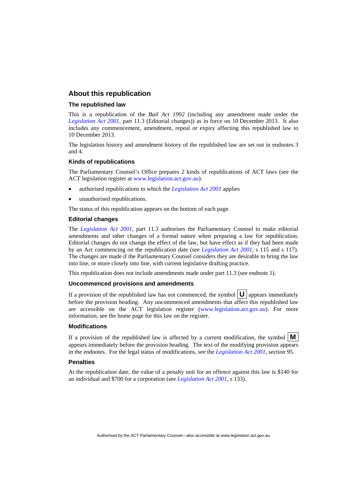### **About this republication**

#### **The republished law**

This is a republication of the *Bail Act 1992* (including any amendment made under the *[Legislation Act 2001](http://www.legislation.act.gov.au/a/2001-14)*, part 11.3 (Editorial changes)) as in force on 10 December 2013*.* It also includes any commencement, amendment, repeal or expiry affecting this republished law to 10 December 2013.

The legislation history and amendment history of the republished law are set out in endnotes 3 and 4.

#### **Kinds of republications**

The Parliamentary Counsel's Office prepares 2 kinds of republications of ACT laws (see the ACT legislation register at [www.legislation.act.gov.au](http://www.legislation.act.gov.au/)):

- authorised republications to which the *[Legislation Act 2001](http://www.legislation.act.gov.au/a/2001-14)* applies
- unauthorised republications.

The status of this republication appears on the bottom of each page.

#### **Editorial changes**

The *[Legislation Act 2001](http://www.legislation.act.gov.au/a/2001-14)*, part 11.3 authorises the Parliamentary Counsel to make editorial amendments and other changes of a formal nature when preparing a law for republication. Editorial changes do not change the effect of the law, but have effect as if they had been made by an Act commencing on the republication date (see *[Legislation Act 2001](http://www.legislation.act.gov.au/a/2001-14)*, s 115 and s 117). The changes are made if the Parliamentary Counsel considers they are desirable to bring the law into line, or more closely into line, with current legislative drafting practice.

This republication does not include amendments made under part 11.3 (see endnote 1).

#### **Uncommenced provisions and amendments**

If a provision of the republished law has not commenced, the symbol  $\mathbf{U}$  appears immediately before the provision heading. Any uncommenced amendments that affect this republished law are accessible on the ACT legislation register [\(www.legislation.act.gov.au\)](http://www.legislation.act.gov.au/). For more information, see the home page for this law on the register.

#### **Modifications**

If a provision of the republished law is affected by a current modification, the symbol  $\mathbf{M}$ appears immediately before the provision heading. The text of the modifying provision appears in the endnotes. For the legal status of modifications, see the *[Legislation Act 2001](http://www.legislation.act.gov.au/a/2001-14)*, section 95.

#### **Penalties**

At the republication date, the value of a penalty unit for an offence against this law is \$140 for an individual and \$700 for a corporation (see *[Legislation Act 2001](http://www.legislation.act.gov.au/a/2001-14)*, s 133).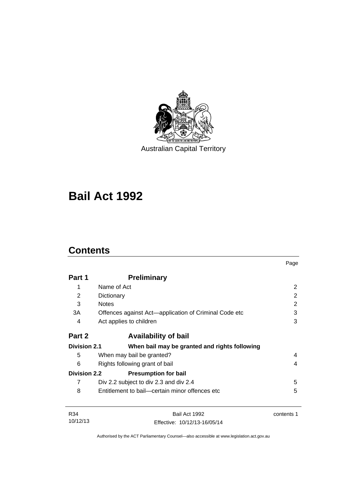

Australian Capital Territory

# **Bail Act 1992**

# **Contents**

|                     |                                                       | Page       |
|---------------------|-------------------------------------------------------|------------|
| Part 1              | <b>Preliminary</b>                                    |            |
| 1                   | Name of Act                                           | 2          |
| 2                   | Dictionary                                            | 2          |
| 3                   | <b>Notes</b>                                          | 2          |
| 3A                  | Offences against Act-application of Criminal Code etc | 3          |
| 4                   | Act applies to children                               | 3          |
| Part 2              | <b>Availability of bail</b>                           |            |
| <b>Division 2.1</b> | When bail may be granted and rights following         |            |
| 5                   | When may bail be granted?                             | 4          |
| 6                   | Rights following grant of bail                        |            |
| <b>Division 2.2</b> | <b>Presumption for bail</b>                           |            |
| 7                   | Div 2.2 subject to div 2.3 and div 2.4                | 5          |
| 8                   | Entitlement to bail—certain minor offences etc        | 5          |
| R34                 | Bail Act 1992                                         | contents 1 |
| 10/12/13            | Fffective: 10/12/13-16/05/14                          |            |

Authorised by the ACT Parliamentary Counsel—also accessible at www.legislation.act.gov.au

Effective: 10/12/13-16/05/14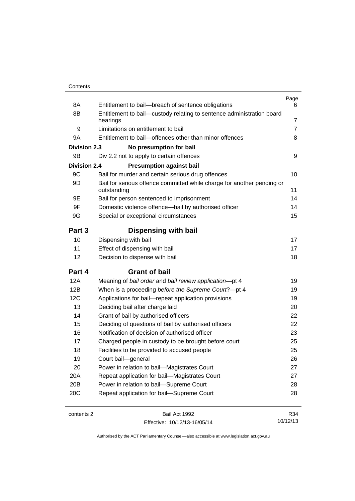| 8A                  | Entitlement to bail-breach of sentence obligations                                    | Page<br>6 |
|---------------------|---------------------------------------------------------------------------------------|-----------|
| 8B                  | Entitlement to bail-custody relating to sentence administration board                 |           |
|                     | hearings                                                                              | 7         |
| 9                   | Limitations on entitlement to bail                                                    | 7         |
| 9Α                  | Entitlement to bail-offences other than minor offences                                | 8         |
| <b>Division 2.3</b> | No presumption for bail                                                               |           |
| 9Β                  | Div 2.2 not to apply to certain offences                                              | 9         |
| <b>Division 2.4</b> | <b>Presumption against bail</b>                                                       |           |
| 9C                  | Bail for murder and certain serious drug offences                                     | 10        |
| 9D                  | Bail for serious offence committed while charge for another pending or<br>outstanding | 11        |
| 9Ε                  | Bail for person sentenced to imprisonment                                             | 14        |
| 9F                  | Domestic violence offence-bail by authorised officer                                  | 14        |
| 9G                  | Special or exceptional circumstances                                                  | 15        |
| Part 3              | Dispensing with bail                                                                  |           |
| 10                  | Dispensing with bail                                                                  | 17        |
| 11                  | Effect of dispensing with bail                                                        | 17        |
| 12                  | Decision to dispense with bail                                                        | 18        |
| Part 4              | <b>Grant of bail</b>                                                                  |           |
| 12A                 | Meaning of bail order and bail review application-pt 4                                | 19        |
| 12B                 | When is a proceeding before the Supreme Court?-pt 4                                   | 19        |
| 12C                 | Applications for bail-repeat application provisions                                   | 19        |
| 13                  | Deciding bail after charge laid                                                       | 20        |
| 14                  | Grant of bail by authorised officers                                                  | 22        |
|                     |                                                                                       |           |
| 15                  | Deciding of questions of bail by authorised officers                                  | 22        |
| 16                  | Notification of decision of authorised officer                                        | 23        |
| 17                  | Charged people in custody to be brought before court                                  | 25        |
| 18                  | Facilities to be provided to accused people                                           | 25        |
| 19                  | Court bail-general                                                                    | 26        |
| 20                  | Power in relation to bail-Magistrates Court                                           | 27        |
| 20A                 | Repeat application for bail-Magistrates Court                                         | 27        |
| 20 <sub>B</sub>     | Power in relation to bail-Supreme Court                                               | 28        |
| 20C                 | Repeat application for bail-Supreme Court                                             | 28        |

contents 2 Bail Act 1992 Effective: 10/12/13-16/05/14

R34 10/12/13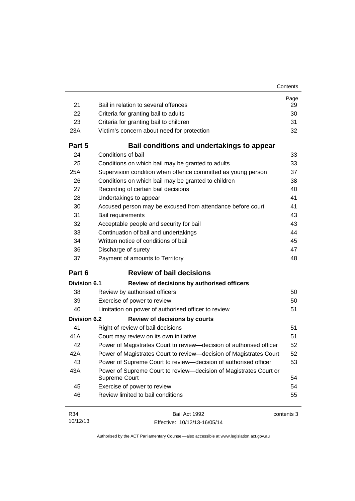| 21                  | Bail in relation to several offences                                                      | Page<br>29 |
|---------------------|-------------------------------------------------------------------------------------------|------------|
| 22                  | Criteria for granting bail to adults                                                      | 30         |
| 23                  | Criteria for granting bail to children                                                    | 31         |
| 23A                 | Victim's concern about need for protection                                                | 32         |
|                     |                                                                                           |            |
| Part 5              | Bail conditions and undertakings to appear                                                |            |
| 24                  | Conditions of bail                                                                        | 33         |
| 25                  | Conditions on which bail may be granted to adults                                         | 33         |
| 25A                 | Supervision condition when offence committed as young person                              | 37         |
| 26                  | Conditions on which bail may be granted to children                                       | 38         |
| 27                  | Recording of certain bail decisions                                                       | 40         |
| 28                  | Undertakings to appear                                                                    | 41         |
| 30                  | Accused person may be excused from attendance before court                                | 41         |
| 31                  | Bail requirements                                                                         | 43         |
| 32                  | Acceptable people and security for bail                                                   | 43         |
| 33                  | Continuation of bail and undertakings                                                     | 44         |
| 34                  | Written notice of conditions of bail                                                      | 45         |
| 36                  | Discharge of surety                                                                       | 47         |
| 37                  | Payment of amounts to Territory                                                           | 48         |
| Part 6              | <b>Review of bail decisions</b>                                                           |            |
| <b>Division 6.1</b> | Review of decisions by authorised officers                                                |            |
| 38                  | Review by authorised officers                                                             | 50         |
| 39                  | Exercise of power to review                                                               | 50         |
| 40                  | Limitation on power of authorised officer to review                                       | 51         |
| <b>Division 6.2</b> | <b>Review of decisions by courts</b>                                                      |            |
| 41                  | Right of review of bail decisions                                                         | 51         |
| 41A                 | Court may review on its own initiative                                                    | 51         |
| 42                  | Power of Magistrates Court to review-decision of authorised officer                       | 52         |
| 42A                 | Power of Magistrates Court to review-decision of Magistrates Court                        | 52         |
| 43                  | Power of Supreme Court to review-decision of authorised officer                           | 53         |
| 43A                 | Power of Supreme Court to review-decision of Magistrates Court or<br><b>Supreme Court</b> | 54         |
| 45                  | Exercise of power to review                                                               | 54         |
| 46                  | Review limited to bail conditions                                                         | 55         |
|                     |                                                                                           |            |

| R34      | Bail Act 1992                | contents 3 |
|----------|------------------------------|------------|
| 10/12/13 | Effective: 10/12/13-16/05/14 |            |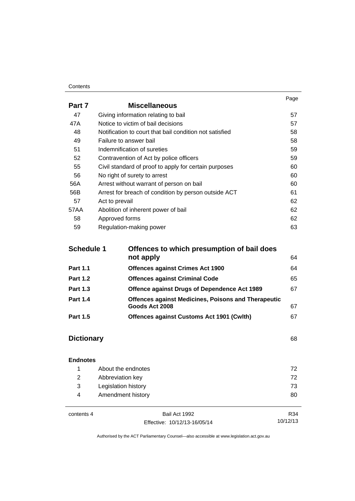#### **Contents**

|        |                                                         | Page |
|--------|---------------------------------------------------------|------|
| Part 7 | <b>Miscellaneous</b>                                    |      |
| 47     | Giving information relating to bail                     | 57   |
| 47A    | Notice to victim of bail decisions                      | 57   |
| 48     | Notification to court that bail condition not satisfied | 58   |
| 49     | Failure to answer bail                                  | 58   |
| 51     | Indemnification of sureties                             | 59   |
| 52     | Contravention of Act by police officers                 | 59   |
| 55     | Civil standard of proof to apply for certain purposes   | 60   |
| 56     | No right of surety to arrest                            | 60   |
| 56A    | Arrest without warrant of person on bail                | 60   |
| 56B    | Arrest for breach of condition by person outside ACT    | 61   |
| 57     | Act to prevail                                          | 62   |
| 57AA   | Abolition of inherent power of bail                     | 62   |
| 58     | Approved forms                                          | 62   |
| 59     | Regulation-making power                                 | 63   |

| <b>Schedule 1</b> | Offences to which presumption of bail does                 |    |  |
|-------------------|------------------------------------------------------------|----|--|
|                   | not apply                                                  | 64 |  |
| <b>Part 1.1</b>   | <b>Offences against Crimes Act 1900</b>                    | 64 |  |
| <b>Part 1.2</b>   | <b>Offences against Criminal Code</b>                      | 65 |  |
| <b>Part 1.3</b>   | <b>Offence against Drugs of Dependence Act 1989</b>        | 67 |  |
| <b>Part 1.4</b>   | <b>Offences against Medicines, Poisons and Therapeutic</b> |    |  |
|                   | Goods Act 2008                                             | 67 |  |
| <b>Part 1.5</b>   | Offences against Customs Act 1901 (Cwlth)                  | 67 |  |

# **[Dictionary](#page-75-0)** [68](#page-75-0)

### **[Endnotes](#page-79-0)**

|     | About the endnotes  | 72. |
|-----|---------------------|-----|
| 2   | Abbreviation key    | 72. |
| - 3 | Legislation history | 73  |
| 4   | Amendment history   | 80  |
|     |                     |     |

contents 4 Bail Act 1992 Effective: 10/12/13-16/05/14

R34 10/12/13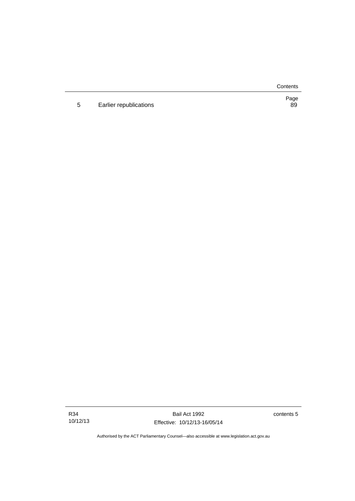**Contents** 

5 Earlier republications

Page<br>89

Bail Act 1992 Effective: 10/12/13-16/05/14 contents 5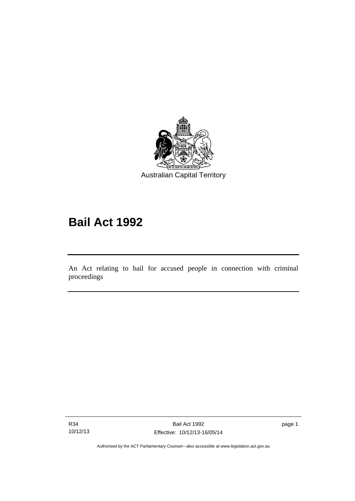

# **Bail Act 1992**

An Act relating to bail for accused people in connection with criminal proceedings

R34 10/12/13

l

page 1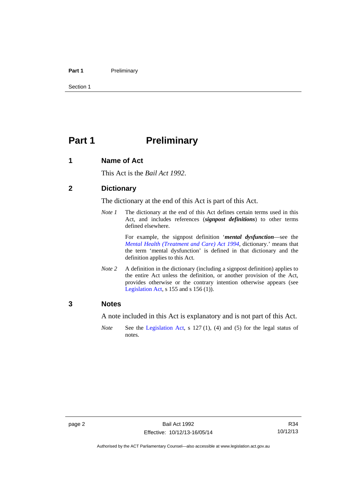#### Part 1 **Preliminary**

Section 1

# <span id="page-9-0"></span>**Part 1** Preliminary

### <span id="page-9-1"></span>**1 Name of Act**

This Act is the *Bail Act 1992*.

### <span id="page-9-2"></span>**2 Dictionary**

The dictionary at the end of this Act is part of this Act.

*Note 1* The dictionary at the end of this Act defines certain terms used in this Act, and includes references (*signpost definitions*) to other terms defined elsewhere.

> For example, the signpost definition '*mental dysfunction*—see the *[Mental Health \(Treatment and Care\) Act 1994](http://www.legislation.act.gov.au/a/1994-44)*, dictionary.' means that the term 'mental dysfunction' is defined in that dictionary and the definition applies to this Act.

*Note* 2 A definition in the dictionary (including a signpost definition) applies to the entire Act unless the definition, or another provision of the Act, provides otherwise or the contrary intention otherwise appears (see [Legislation Act,](http://www.legislation.act.gov.au/a/2001-14) s 155 and s 156 (1)).

### <span id="page-9-3"></span>**3 Notes**

A note included in this Act is explanatory and is not part of this Act.

*Note* See the [Legislation Act,](http://www.legislation.act.gov.au/a/2001-14) s 127 (1), (4) and (5) for the legal status of notes.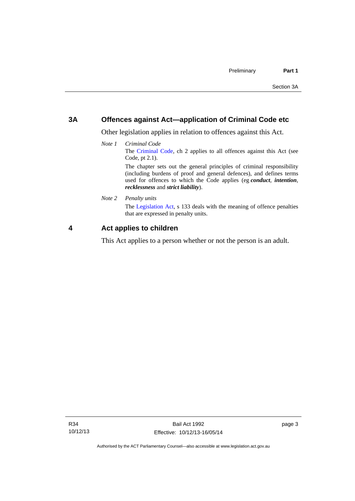### <span id="page-10-0"></span>**3A Offences against Act—application of Criminal Code etc**

Other legislation applies in relation to offences against this Act.

*Note 1 Criminal Code* The [Criminal Code](http://www.legislation.act.gov.au/a/2002-51), ch 2 applies to all offences against this Act (see Code, pt 2.1). The chapter sets out the general principles of criminal responsibility (including burdens of proof and general defences), and defines terms

used for offences to which the Code applies (eg *conduct*, *intention*, *recklessness* and *strict liability*).

*Note 2 Penalty units* 

The [Legislation Act](http://www.legislation.act.gov.au/a/2001-14), s 133 deals with the meaning of offence penalties that are expressed in penalty units.

### <span id="page-10-1"></span>**4 Act applies to children**

This Act applies to a person whether or not the person is an adult.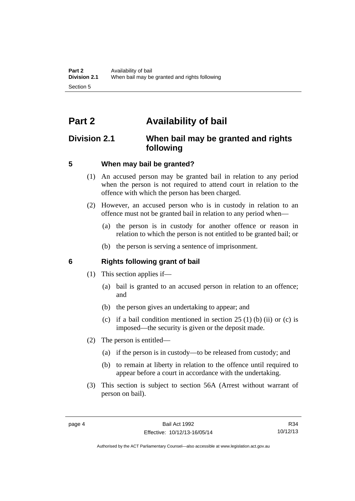# <span id="page-11-0"></span>**Part 2 Availability of bail**

### <span id="page-11-1"></span>**Division 2.1 When bail may be granted and rights following**

### <span id="page-11-2"></span>**5 When may bail be granted?**

- (1) An accused person may be granted bail in relation to any period when the person is not required to attend court in relation to the offence with which the person has been charged.
- (2) However, an accused person who is in custody in relation to an offence must not be granted bail in relation to any period when—
	- (a) the person is in custody for another offence or reason in relation to which the person is not entitled to be granted bail; or
	- (b) the person is serving a sentence of imprisonment.

### <span id="page-11-3"></span>**6 Rights following grant of bail**

- (1) This section applies if—
	- (a) bail is granted to an accused person in relation to an offence; and
	- (b) the person gives an undertaking to appear; and
	- (c) if a bail condition mentioned in section  $25(1)$  (b) (ii) or (c) is imposed—the security is given or the deposit made.
- (2) The person is entitled—
	- (a) if the person is in custody—to be released from custody; and
	- (b) to remain at liberty in relation to the offence until required to appear before a court in accordance with the undertaking.
- (3) This section is subject to section 56A (Arrest without warrant of person on bail).

Authorised by the ACT Parliamentary Counsel—also accessible at www.legislation.act.gov.au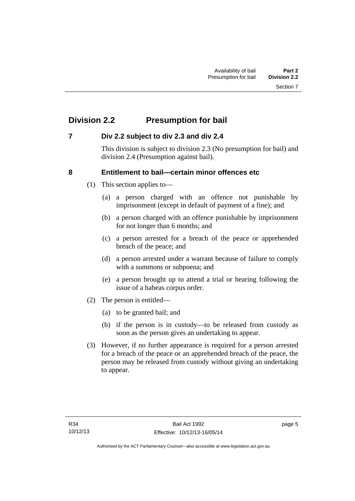# <span id="page-12-0"></span>**Division 2.2 Presumption for bail**

### <span id="page-12-1"></span>**7 Div 2.2 subject to div 2.3 and div 2.4**

This division is subject to division 2.3 (No presumption for bail) and division 2.4 (Presumption against bail).

### <span id="page-12-2"></span>**8 Entitlement to bail—certain minor offences etc**

- (1) This section applies to—
	- (a) a person charged with an offence not punishable by imprisonment (except in default of payment of a fine); and
	- (b) a person charged with an offence punishable by imprisonment for not longer than 6 months; and
	- (c) a person arrested for a breach of the peace or apprehended breach of the peace; and
	- (d) a person arrested under a warrant because of failure to comply with a summons or subpoena; and
	- (e) a person brought up to attend a trial or hearing following the issue of a habeas corpus order.
- (2) The person is entitled—
	- (a) to be granted bail; and
	- (b) if the person is in custody—to be released from custody as soon as the person gives an undertaking to appear.
- (3) However, if no further appearance is required for a person arrested for a breach of the peace or an apprehended breach of the peace, the person may be released from custody without giving an undertaking to appear.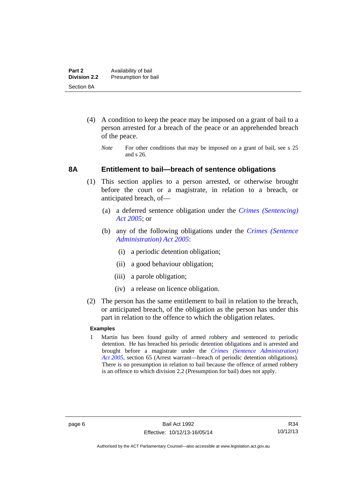- (4) A condition to keep the peace may be imposed on a grant of bail to a person arrested for a breach of the peace or an apprehended breach of the peace.
	- *Note* For other conditions that may be imposed on a grant of bail, see s 25 and s 26.

### <span id="page-13-0"></span>**8A Entitlement to bail—breach of sentence obligations**

- (1) This section applies to a person arrested, or otherwise brought before the court or a magistrate, in relation to a breach, or anticipated breach, of—
	- (a) a deferred sentence obligation under the *[Crimes \(Sentencing\)](http://www.legislation.act.gov.au/a/2005-58)  [Act 2005](http://www.legislation.act.gov.au/a/2005-58)*; or
	- (b) any of the following obligations under the *[Crimes \(Sentence](http://www.legislation.act.gov.au/a/2005-59)  [Administration\) Act 2005](http://www.legislation.act.gov.au/a/2005-59)*:
		- (i) a periodic detention obligation;
		- (ii) a good behaviour obligation;
		- (iii) a parole obligation;
		- (iv) a release on licence obligation.
- (2) The person has the same entitlement to bail in relation to the breach, or anticipated breach, of the obligation as the person has under this part in relation to the offence to which the obligation relates.

### **Examples**

1 Martin has been found guilty of armed robbery and sentenced to periodic detention. He has breached his periodic detention obligations and is arrested and brought before a magistrate under the *[Crimes \(Sentence Administration\)](http://www.legislation.act.gov.au/a/2005-59)  [Act 2005](http://www.legislation.act.gov.au/a/2005-59)*, section 65 (Arrest warrant—breach of periodic detention obligations). There is no presumption in relation to bail because the offence of armed robbery is an offence to which division 2.2 (Presumption for bail) does not apply.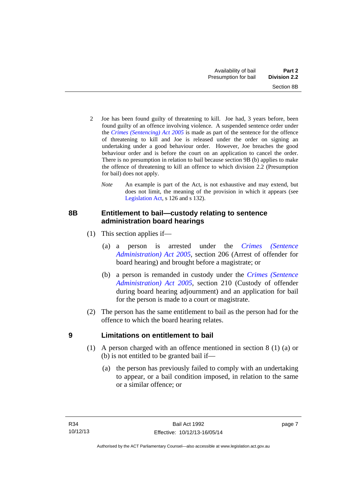- 2 Joe has been found guilty of threatening to kill. Joe had, 3 years before, been found guilty of an offence involving violence. A suspended sentence order under the *[Crimes \(Sentencing\) Act 2005](http://www.legislation.act.gov.au/a/2005-58)* is made as part of the sentence for the offence of threatening to kill and Joe is released under the order on signing an undertaking under a good behaviour order. However, Joe breaches the good behaviour order and is before the court on an application to cancel the order. There is no presumption in relation to bail because section 9B (b) applies to make the offence of threatening to kill an offence to which division 2.2 (Presumption for bail) does not apply.
	- *Note* An example is part of the Act, is not exhaustive and may extend, but does not limit, the meaning of the provision in which it appears (see [Legislation Act,](http://www.legislation.act.gov.au/a/2001-14) s 126 and s 132).

### <span id="page-14-0"></span>**8B Entitlement to bail—custody relating to sentence administration board hearings**

- (1) This section applies if—
	- (a) a person is arrested under the *[Crimes \(Sentence](http://www.legislation.act.gov.au/a/2005-59)  [Administration\) Act 2005](http://www.legislation.act.gov.au/a/2005-59)*, section 206 (Arrest of offender for board hearing) and brought before a magistrate; or
	- (b) a person is remanded in custody under the *[Crimes \(Sentence](http://www.legislation.act.gov.au/a/2005-59)  [Administration\) Act 2005](http://www.legislation.act.gov.au/a/2005-59)*, section 210 (Custody of offender during board hearing adjournment) and an application for bail for the person is made to a court or magistrate.
- (2) The person has the same entitlement to bail as the person had for the offence to which the board hearing relates.

### <span id="page-14-1"></span>**9 Limitations on entitlement to bail**

- (1) A person charged with an offence mentioned in section 8 (1) (a) or (b) is not entitled to be granted bail if—
	- (a) the person has previously failed to comply with an undertaking to appear, or a bail condition imposed, in relation to the same or a similar offence; or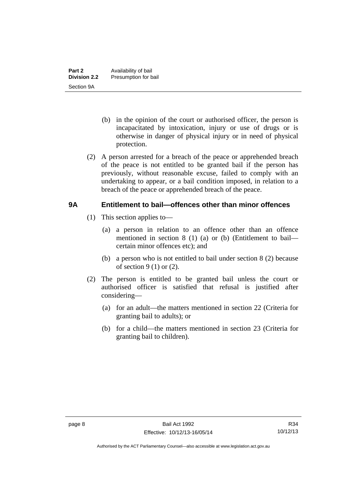- (b) in the opinion of the court or authorised officer, the person is incapacitated by intoxication, injury or use of drugs or is otherwise in danger of physical injury or in need of physical protection.
- (2) A person arrested for a breach of the peace or apprehended breach of the peace is not entitled to be granted bail if the person has previously, without reasonable excuse, failed to comply with an undertaking to appear, or a bail condition imposed, in relation to a breach of the peace or apprehended breach of the peace.

### <span id="page-15-0"></span>**9A Entitlement to bail—offences other than minor offences**

- (1) This section applies to—
	- (a) a person in relation to an offence other than an offence mentioned in section 8 (1) (a) or (b) (Entitlement to bail certain minor offences etc); and
	- (b) a person who is not entitled to bail under section 8 (2) because of section  $9(1)$  or  $(2)$ .
- (2) The person is entitled to be granted bail unless the court or authorised officer is satisfied that refusal is justified after considering—
	- (a) for an adult—the matters mentioned in section 22 (Criteria for granting bail to adults); or
	- (b) for a child—the matters mentioned in section 23 (Criteria for granting bail to children).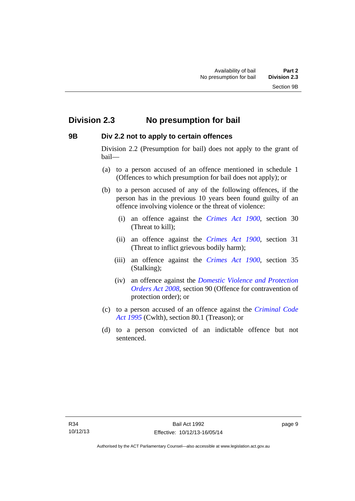### <span id="page-16-0"></span>**Division 2.3 No presumption for bail**

### <span id="page-16-1"></span>**9B Div 2.2 not to apply to certain offences**

Division 2.2 (Presumption for bail) does not apply to the grant of bail—

- (a) to a person accused of an offence mentioned in schedule 1 (Offences to which presumption for bail does not apply); or
- (b) to a person accused of any of the following offences, if the person has in the previous 10 years been found guilty of an offence involving violence or the threat of violence:
	- (i) an offence against the *[Crimes Act 1900](http://www.legislation.act.gov.au/a/1900-40)*, section 30 (Threat to kill);
	- (ii) an offence against the *[Crimes Act 1900](http://www.legislation.act.gov.au/a/1900-40)*, section 31 (Threat to inflict grievous bodily harm);
	- (iii) an offence against the *[Crimes Act 1900](http://www.legislation.act.gov.au/a/1900-40)*, section 35 (Stalking);
	- (iv) an offence against the *[Domestic Violence and Protection](http://www.legislation.act.gov.au/a/2008-46)  [Orders Act 2008](http://www.legislation.act.gov.au/a/2008-46)*, section 90 (Offence for contravention of protection order); or
- (c) to a person accused of an offence against the *[Criminal Code](http://www.comlaw.gov.au/Details/C2013C00138)  [Act 1995](http://www.comlaw.gov.au/Details/C2013C00138)* (Cwlth), section 80.1 (Treason); or
- (d) to a person convicted of an indictable offence but not sentenced.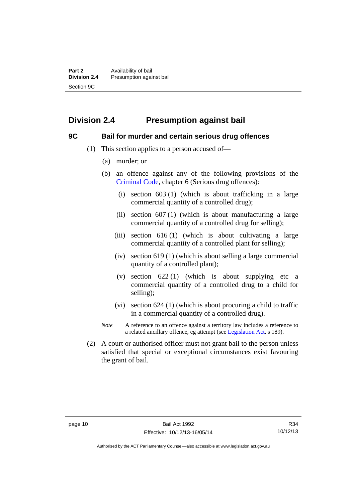# <span id="page-17-0"></span>**Division 2.4 Presumption against bail**

### <span id="page-17-1"></span>**9C Bail for murder and certain serious drug offences**

- (1) This section applies to a person accused of—
	- (a) murder; or
	- (b) an offence against any of the following provisions of the [Criminal Code,](http://www.legislation.act.gov.au/a/2002-51) chapter 6 (Serious drug offences):
		- (i) section 603 (1) (which is about trafficking in a large commercial quantity of a controlled drug);
		- (ii) section  $607(1)$  (which is about manufacturing a large commercial quantity of a controlled drug for selling);
		- (iii) section 616 (1) (which is about cultivating a large commercial quantity of a controlled plant for selling);
		- (iv) section 619 (1) (which is about selling a large commercial quantity of a controlled plant);
		- (v) section  $622(1)$  (which is about supplying etc a commercial quantity of a controlled drug to a child for selling);
		- (vi) section 624 (1) (which is about procuring a child to traffic in a commercial quantity of a controlled drug).
	- *Note* A reference to an offence against a territory law includes a reference to a related ancillary offence, eg attempt (see [Legislation Act](http://www.legislation.act.gov.au/a/2001-14), s 189).
- (2) A court or authorised officer must not grant bail to the person unless satisfied that special or exceptional circumstances exist favouring the grant of bail.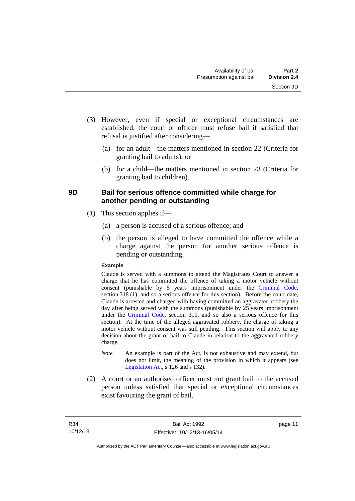- (3) However, even if special or exceptional circumstances are established, the court or officer must refuse bail if satisfied that refusal is justified after considering—
	- (a) for an adult—the matters mentioned in section 22 (Criteria for granting bail to adults); or
	- (b) for a child—the matters mentioned in section 23 (Criteria for granting bail to children).

### <span id="page-18-0"></span>**9D Bail for serious offence committed while charge for another pending or outstanding**

- (1) This section applies if—
	- (a) a person is accused of a serious offence; and
	- (b) the person is alleged to have committed the offence while a charge against the person for another serious offence is pending or outstanding.

### **Example**

Claude is served with a summons to attend the Magistrates Court to answer a charge that he has committed the offence of taking a motor vehicle without consent (punishable by 5 years imprisonment under the [Criminal Code,](http://www.legislation.act.gov.au/a/2002-51) section 318 (1), and so a serious offence for this section). Before the court date, Claude is arrested and charged with having committed an aggravated robbery the day after being served with the summons (punishable by 25 years imprisonment under the [Criminal Code](http://www.legislation.act.gov.au/a/2002-51), section 310, and so also a serious offence for this section). At the time of the alleged aggravated robbery, the charge of taking a motor vehicle without consent was still pending. This section will apply to any decision about the grant of bail to Claude in relation to the aggravated robbery charge.

- *Note* An example is part of the Act, is not exhaustive and may extend, but does not limit, the meaning of the provision in which it appears (see [Legislation Act,](http://www.legislation.act.gov.au/a/2001-14) s 126 and s 132).
- (2) A court or an authorised officer must not grant bail to the accused person unless satisfied that special or exceptional circumstances exist favouring the grant of bail.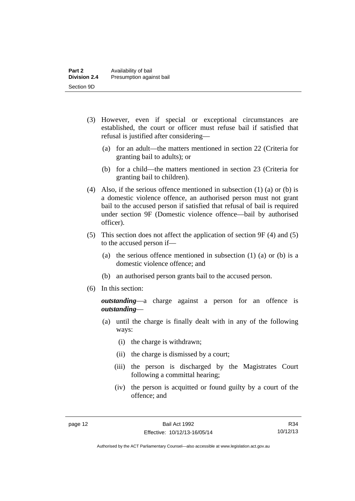- (3) However, even if special or exceptional circumstances are established, the court or officer must refuse bail if satisfied that refusal is justified after considering—
	- (a) for an adult—the matters mentioned in section 22 (Criteria for granting bail to adults); or
	- (b) for a child—the matters mentioned in section 23 (Criteria for granting bail to children).
- (4) Also, if the serious offence mentioned in subsection (1) (a) or (b) is a domestic violence offence, an authorised person must not grant bail to the accused person if satisfied that refusal of bail is required under section 9F (Domestic violence offence—bail by authorised officer).
- (5) This section does not affect the application of section 9F (4) and (5) to the accused person if—
	- (a) the serious offence mentioned in subsection (1) (a) or (b) is a domestic violence offence; and
	- (b) an authorised person grants bail to the accused person.
- (6) In this section:

*outstanding*—a charge against a person for an offence is *outstanding*—

- (a) until the charge is finally dealt with in any of the following ways:
	- (i) the charge is withdrawn;
	- (ii) the charge is dismissed by a court;
	- (iii) the person is discharged by the Magistrates Court following a committal hearing;
	- (iv) the person is acquitted or found guilty by a court of the offence; and

R34 10/12/13

Authorised by the ACT Parliamentary Counsel—also accessible at www.legislation.act.gov.au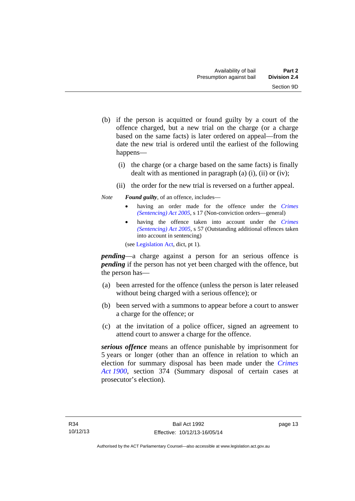- (b) if the person is acquitted or found guilty by a court of the offence charged, but a new trial on the charge (or a charge based on the same facts) is later ordered on appeal—from the date the new trial is ordered until the earliest of the following happens—
	- (i) the charge (or a charge based on the same facts) is finally dealt with as mentioned in paragraph (a)  $(i)$ ,  $(ii)$  or  $(iv)$ ;
	- (ii) the order for the new trial is reversed on a further appeal.

### *Note Found guilty*, of an offence, includes—

- having an order made for the offence under the *[Crimes](http://www.legislation.act.gov.au/a/2005-58)  [\(Sentencing\) Act 2005](http://www.legislation.act.gov.au/a/2005-58)*, s 17 (Non-conviction orders—general)
- having the offence taken into account under the *[Crimes](http://www.legislation.act.gov.au/a/2005-58)  [\(Sentencing\) Act 2005](http://www.legislation.act.gov.au/a/2005-58)*, s 57 (Outstanding additional offences taken into account in sentencing)

(see [Legislation Act,](http://www.legislation.act.gov.au/a/2001-14) dict, pt 1).

*pending*—a charge against a person for an serious offence is *pending* if the person has not yet been charged with the offence, but the person has—

- (a) been arrested for the offence (unless the person is later released without being charged with a serious offence); or
- (b) been served with a summons to appear before a court to answer a charge for the offence; or
- (c) at the invitation of a police officer, signed an agreement to attend court to answer a charge for the offence.

*serious offence* means an offence punishable by imprisonment for 5 years or longer (other than an offence in relation to which an election for summary disposal has been made under the *[Crimes](http://www.legislation.act.gov.au/a/1900-40)  [Act 1900](http://www.legislation.act.gov.au/a/1900-40)*, section 374 (Summary disposal of certain cases at prosecutor's election).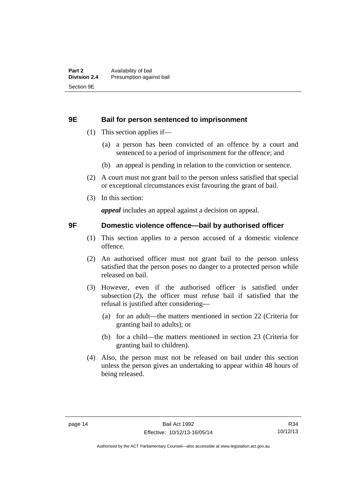### <span id="page-21-0"></span>**9E Bail for person sentenced to imprisonment**

- (1) This section applies if—
	- (a) a person has been convicted of an offence by a court and sentenced to a period of imprisonment for the offence; and
	- (b) an appeal is pending in relation to the conviction or sentence.
- (2) A court must not grant bail to the person unless satisfied that special or exceptional circumstances exist favouring the grant of bail.
- (3) In this section:

*appeal* includes an appeal against a decision on appeal.

### <span id="page-21-1"></span>**9F Domestic violence offence—bail by authorised officer**

- (1) This section applies to a person accused of a domestic violence offence.
- (2) An authorised officer must not grant bail to the person unless satisfied that the person poses no danger to a protected person while released on bail.
- (3) However, even if the authorised officer is satisfied under subsection (2), the officer must refuse bail if satisfied that the refusal is justified after considering—
	- (a) for an adult—the matters mentioned in section 22 (Criteria for granting bail to adults); or
	- (b) for a child—the matters mentioned in section 23 (Criteria for granting bail to children).
- (4) Also, the person must not be released on bail under this section unless the person gives an undertaking to appear within 48 hours of being released.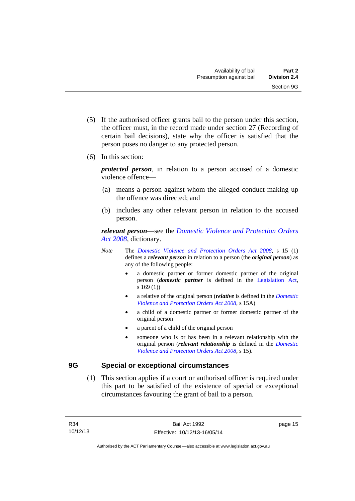- (5) If the authorised officer grants bail to the person under this section, the officer must, in the record made under section 27 (Recording of certain bail decisions), state why the officer is satisfied that the person poses no danger to any protected person.
- (6) In this section:

*protected person*, in relation to a person accused of a domestic violence offence—

- (a) means a person against whom the alleged conduct making up the offence was directed; and
- (b) includes any other relevant person in relation to the accused person.

*relevant person*—see the *[Domestic Violence and Protection Orders](http://www.legislation.act.gov.au/a/2008-46)  [Act 2008](http://www.legislation.act.gov.au/a/2008-46)*, dictionary.

- *Note* The *[Domestic Violence and Protection Orders Act 2008](http://www.legislation.act.gov.au/a/2008-46)*, s 15 (1) defines a *relevant person* in relation to a person (the *original person*) as any of the following people:
	- a domestic partner or former domestic partner of the original person (*domestic partner* is defined in the [Legislation Act,](http://www.legislation.act.gov.au/a/2001-14) s 169 (1))
	- a relative of the original person (*relative* is defined in the *[Domestic](http://www.legislation.act.gov.au/a/2008-46)  [Violence and Protection Orders Act 2008](http://www.legislation.act.gov.au/a/2008-46)*, s 15A)
	- a child of a domestic partner or former domestic partner of the original person
	- a parent of a child of the original person
	- someone who is or has been in a relevant relationship with the original person (*relevant relationship* is defined in the *[Domestic](http://www.legislation.act.gov.au/a/2008-46)  [Violence and Protection Orders Act 2008](http://www.legislation.act.gov.au/a/2008-46)*, s 15).

### <span id="page-22-0"></span>**9G Special or exceptional circumstances**

 (1) This section applies if a court or authorised officer is required under this part to be satisfied of the existence of special or exceptional circumstances favouring the grant of bail to a person.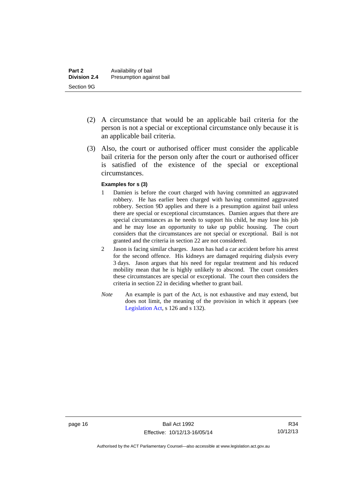- (2) A circumstance that would be an applicable bail criteria for the person is not a special or exceptional circumstance only because it is an applicable bail criteria.
- (3) Also, the court or authorised officer must consider the applicable bail criteria for the person only after the court or authorised officer is satisfied of the existence of the special or exceptional circumstances.

#### **Examples for s (3)**

- 1 Damien is before the court charged with having committed an aggravated robbery. He has earlier been charged with having committed aggravated robbery. Section 9D applies and there is a presumption against bail unless there are special or exceptional circumstances. Damien argues that there are special circumstances as he needs to support his child, he may lose his job and he may lose an opportunity to take up public housing. The court considers that the circumstances are not special or exceptional. Bail is not granted and the criteria in section 22 are not considered.
- 2 Jason is facing similar charges. Jason has had a car accident before his arrest for the second offence. His kidneys are damaged requiring dialysis every 3 days. Jason argues that his need for regular treatment and his reduced mobility mean that he is highly unlikely to abscond. The court considers these circumstances are special or exceptional. The court then considers the criteria in section 22 in deciding whether to grant bail.
- *Note* An example is part of the Act, is not exhaustive and may extend, but does not limit, the meaning of the provision in which it appears (see [Legislation Act,](http://www.legislation.act.gov.au/a/2001-14) s 126 and s 132).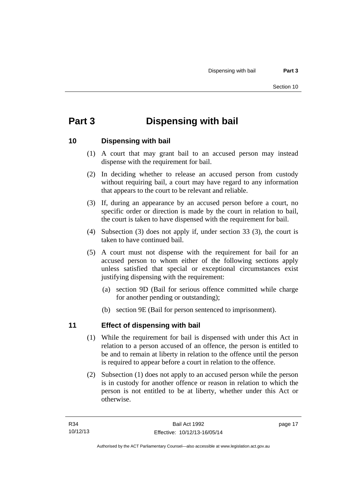# <span id="page-24-0"></span>**Part 3 Dispensing with bail**

### <span id="page-24-1"></span>**10 Dispensing with bail**

- (1) A court that may grant bail to an accused person may instead dispense with the requirement for bail.
- (2) In deciding whether to release an accused person from custody without requiring bail, a court may have regard to any information that appears to the court to be relevant and reliable.
- (3) If, during an appearance by an accused person before a court, no specific order or direction is made by the court in relation to bail, the court is taken to have dispensed with the requirement for bail.
- (4) Subsection (3) does not apply if, under section 33 (3), the court is taken to have continued bail.
- (5) A court must not dispense with the requirement for bail for an accused person to whom either of the following sections apply unless satisfied that special or exceptional circumstances exist justifying dispensing with the requirement:
	- (a) section 9D (Bail for serious offence committed while charge for another pending or outstanding);
	- (b) section 9E (Bail for person sentenced to imprisonment).

### <span id="page-24-2"></span>**11 Effect of dispensing with bail**

- (1) While the requirement for bail is dispensed with under this Act in relation to a person accused of an offence, the person is entitled to be and to remain at liberty in relation to the offence until the person is required to appear before a court in relation to the offence.
- (2) Subsection (1) does not apply to an accused person while the person is in custody for another offence or reason in relation to which the person is not entitled to be at liberty, whether under this Act or otherwise.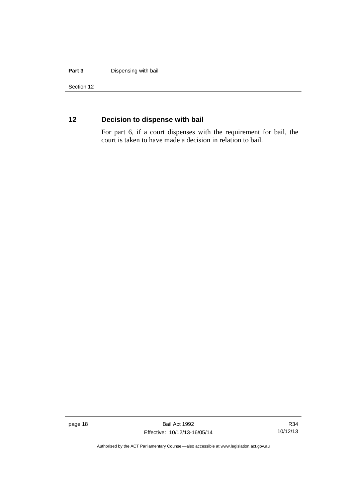#### **Part 3** Dispensing with bail

Section 12

### <span id="page-25-0"></span>**12 Decision to dispense with bail**

For part 6, if a court dispenses with the requirement for bail, the court is taken to have made a decision in relation to bail.

page 18 Bail Act 1992 Effective: 10/12/13-16/05/14

R34 10/12/13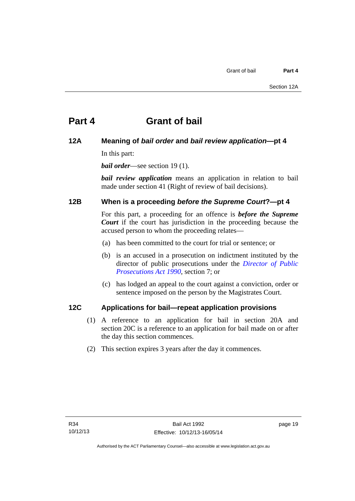# <span id="page-26-0"></span>**Part 4 Grant of bail**

### <span id="page-26-1"></span>**12A Meaning of** *bail order* **and** *bail review application***—pt 4**

In this part:

*bail order*—see section 19 (1).

*bail review application* means an application in relation to bail made under section 41 (Right of review of bail decisions).

### <span id="page-26-2"></span>**12B When is a proceeding** *before the Supreme Court***?—pt 4**

For this part, a proceeding for an offence is *before the Supreme Court* if the court has jurisdiction in the proceeding because the accused person to whom the proceeding relates—

- (a) has been committed to the court for trial or sentence; or
- (b) is an accused in a prosecution on indictment instituted by the director of public prosecutions under the *[Director of Public](http://www.legislation.act.gov.au/a/1990-22)  [Prosecutions Act 1990](http://www.legislation.act.gov.au/a/1990-22)*, section 7; or
- (c) has lodged an appeal to the court against a conviction, order or sentence imposed on the person by the Magistrates Court.

### <span id="page-26-3"></span>**12C Applications for bail—repeat application provisions**

- (1) A reference to an application for bail in section 20A and section 20C is a reference to an application for bail made on or after the day this section commences.
- (2) This section expires 3 years after the day it commences.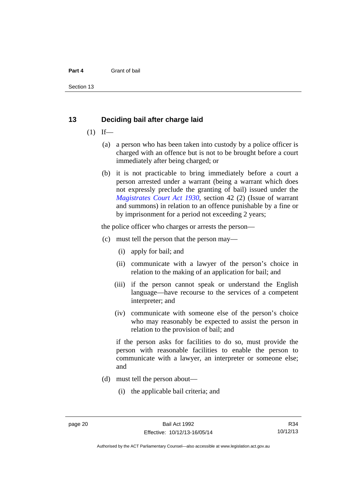#### **Part 4** Grant of bail

Section 13

### <span id="page-27-0"></span>**13 Deciding bail after charge laid**

- $(1)$  If—
	- (a) a person who has been taken into custody by a police officer is charged with an offence but is not to be brought before a court immediately after being charged; or
	- (b) it is not practicable to bring immediately before a court a person arrested under a warrant (being a warrant which does not expressly preclude the granting of bail) issued under the *[Magistrates Court Act 1930](http://www.legislation.act.gov.au/a/1930-21)*, section 42 (2) (Issue of warrant and summons) in relation to an offence punishable by a fine or by imprisonment for a period not exceeding 2 years;

the police officer who charges or arrests the person—

- (c) must tell the person that the person may—
	- (i) apply for bail; and
	- (ii) communicate with a lawyer of the person's choice in relation to the making of an application for bail; and
	- (iii) if the person cannot speak or understand the English language—have recourse to the services of a competent interpreter; and
	- (iv) communicate with someone else of the person's choice who may reasonably be expected to assist the person in relation to the provision of bail; and

if the person asks for facilities to do so, must provide the person with reasonable facilities to enable the person to communicate with a lawyer, an interpreter or someone else; and

- (d) must tell the person about—
	- (i) the applicable bail criteria; and

R34 10/12/13

Authorised by the ACT Parliamentary Counsel—also accessible at www.legislation.act.gov.au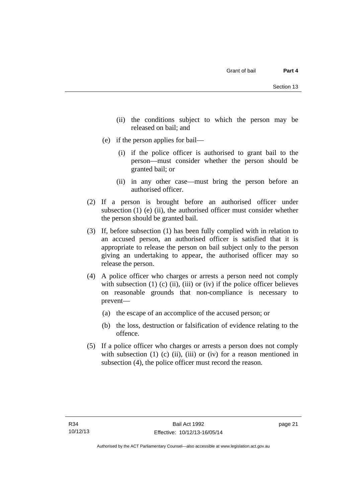- (ii) the conditions subject to which the person may be released on bail; and
- (e) if the person applies for bail—
	- (i) if the police officer is authorised to grant bail to the person—must consider whether the person should be granted bail; or
	- (ii) in any other case—must bring the person before an authorised officer.
- (2) If a person is brought before an authorised officer under subsection (1) (e) (ii), the authorised officer must consider whether the person should be granted bail.
- (3) If, before subsection (1) has been fully complied with in relation to an accused person, an authorised officer is satisfied that it is appropriate to release the person on bail subject only to the person giving an undertaking to appear, the authorised officer may so release the person.
- (4) A police officer who charges or arrests a person need not comply with subsection  $(1)$   $(c)$   $(ii)$ ,  $(iii)$  or  $(iv)$  if the police officer believes on reasonable grounds that non-compliance is necessary to prevent—
	- (a) the escape of an accomplice of the accused person; or
	- (b) the loss, destruction or falsification of evidence relating to the offence.
- (5) If a police officer who charges or arrests a person does not comply with subsection  $(1)$   $(c)$   $(ii)$ ,  $(iii)$  or  $(iv)$  for a reason mentioned in subsection (4), the police officer must record the reason.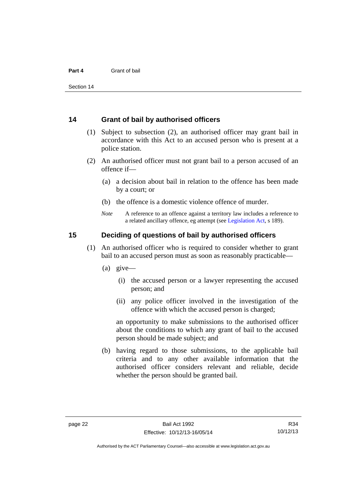### <span id="page-29-0"></span>**14 Grant of bail by authorised officers**

- (1) Subject to subsection (2), an authorised officer may grant bail in accordance with this Act to an accused person who is present at a police station.
- (2) An authorised officer must not grant bail to a person accused of an offence if—
	- (a) a decision about bail in relation to the offence has been made by a court; or
	- (b) the offence is a domestic violence offence of murder.
	- *Note* A reference to an offence against a territory law includes a reference to a related ancillary offence, eg attempt (see [Legislation Act](http://www.legislation.act.gov.au/a/2001-14), s 189).

### <span id="page-29-1"></span>**15 Deciding of questions of bail by authorised officers**

- (1) An authorised officer who is required to consider whether to grant bail to an accused person must as soon as reasonably practicable—
	- (a) give—
		- (i) the accused person or a lawyer representing the accused person; and
		- (ii) any police officer involved in the investigation of the offence with which the accused person is charged;

an opportunity to make submissions to the authorised officer about the conditions to which any grant of bail to the accused person should be made subject; and

 (b) having regard to those submissions, to the applicable bail criteria and to any other available information that the authorised officer considers relevant and reliable, decide whether the person should be granted bail.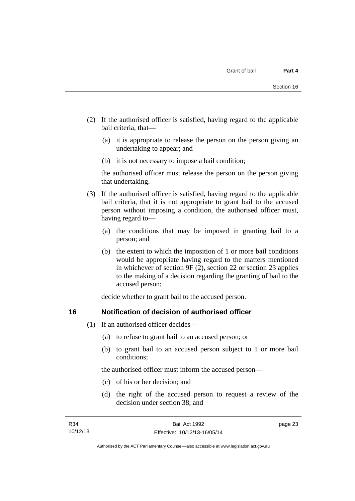- (2) If the authorised officer is satisfied, having regard to the applicable bail criteria, that—
	- (a) it is appropriate to release the person on the person giving an undertaking to appear; and
	- (b) it is not necessary to impose a bail condition;

the authorised officer must release the person on the person giving that undertaking.

- (3) If the authorised officer is satisfied, having regard to the applicable bail criteria, that it is not appropriate to grant bail to the accused person without imposing a condition, the authorised officer must, having regard to—
	- (a) the conditions that may be imposed in granting bail to a person; and
	- (b) the extent to which the imposition of 1 or more bail conditions would be appropriate having regard to the matters mentioned in whichever of section 9F (2), section 22 or section 23 applies to the making of a decision regarding the granting of bail to the accused person;

decide whether to grant bail to the accused person.

### <span id="page-30-0"></span>**16 Notification of decision of authorised officer**

- (1) If an authorised officer decides—
	- (a) to refuse to grant bail to an accused person; or
	- (b) to grant bail to an accused person subject to 1 or more bail conditions;

the authorised officer must inform the accused person—

- (c) of his or her decision; and
- (d) the right of the accused person to request a review of the decision under section 38; and

page 23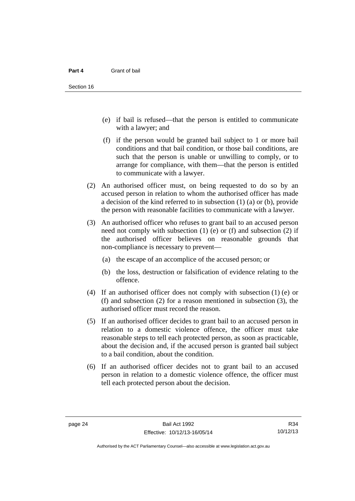- (e) if bail is refused—that the person is entitled to communicate with a lawyer; and
- (f) if the person would be granted bail subject to 1 or more bail conditions and that bail condition, or those bail conditions, are such that the person is unable or unwilling to comply, or to arrange for compliance, with them—that the person is entitled to communicate with a lawyer.
- (2) An authorised officer must, on being requested to do so by an accused person in relation to whom the authorised officer has made a decision of the kind referred to in subsection (1) (a) or (b), provide the person with reasonable facilities to communicate with a lawyer.
- (3) An authorised officer who refuses to grant bail to an accused person need not comply with subsection  $(1)$  (e) or  $(f)$  and subsection  $(2)$  if the authorised officer believes on reasonable grounds that non-compliance is necessary to prevent—
	- (a) the escape of an accomplice of the accused person; or
	- (b) the loss, destruction or falsification of evidence relating to the offence.
- (4) If an authorised officer does not comply with subsection (1) (e) or (f) and subsection (2) for a reason mentioned in subsection (3), the authorised officer must record the reason.
- (5) If an authorised officer decides to grant bail to an accused person in relation to a domestic violence offence, the officer must take reasonable steps to tell each protected person, as soon as practicable, about the decision and, if the accused person is granted bail subject to a bail condition, about the condition.
- (6) If an authorised officer decides not to grant bail to an accused person in relation to a domestic violence offence, the officer must tell each protected person about the decision.

R34 10/12/13

Authorised by the ACT Parliamentary Counsel—also accessible at www.legislation.act.gov.au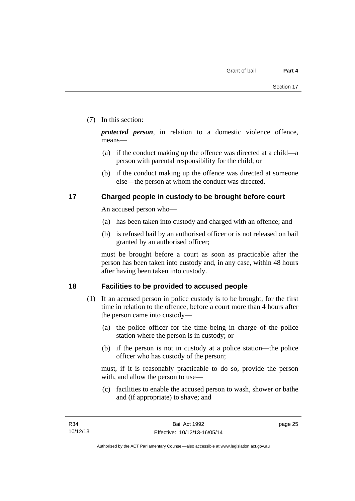### (7) In this section:

*protected person*, in relation to a domestic violence offence, means—

- (a) if the conduct making up the offence was directed at a child—a person with parental responsibility for the child; or
- (b) if the conduct making up the offence was directed at someone else—the person at whom the conduct was directed.

### <span id="page-32-0"></span>**17 Charged people in custody to be brought before court**

An accused person who—

- (a) has been taken into custody and charged with an offence; and
- (b) is refused bail by an authorised officer or is not released on bail granted by an authorised officer;

must be brought before a court as soon as practicable after the person has been taken into custody and, in any case, within 48 hours after having been taken into custody.

### <span id="page-32-1"></span>**18 Facilities to be provided to accused people**

- (1) If an accused person in police custody is to be brought, for the first time in relation to the offence, before a court more than 4 hours after the person came into custody—
	- (a) the police officer for the time being in charge of the police station where the person is in custody; or
	- (b) if the person is not in custody at a police station—the police officer who has custody of the person;

must, if it is reasonably practicable to do so, provide the person with, and allow the person to use—

 (c) facilities to enable the accused person to wash, shower or bathe and (if appropriate) to shave; and

page 25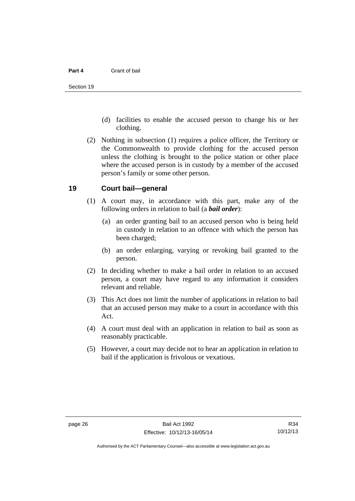- (d) facilities to enable the accused person to change his or her clothing.
- (2) Nothing in subsection (1) requires a police officer, the Territory or the Commonwealth to provide clothing for the accused person unless the clothing is brought to the police station or other place where the accused person is in custody by a member of the accused person's family or some other person.

### <span id="page-33-0"></span>**19 Court bail—general**

- (1) A court may, in accordance with this part, make any of the following orders in relation to bail (a *bail order*):
	- (a) an order granting bail to an accused person who is being held in custody in relation to an offence with which the person has been charged;
	- (b) an order enlarging, varying or revoking bail granted to the person.
- (2) In deciding whether to make a bail order in relation to an accused person, a court may have regard to any information it considers relevant and reliable.
- (3) This Act does not limit the number of applications in relation to bail that an accused person may make to a court in accordance with this Act.
- (4) A court must deal with an application in relation to bail as soon as reasonably practicable.
- (5) However, a court may decide not to hear an application in relation to bail if the application is frivolous or vexatious.

R34 10/12/13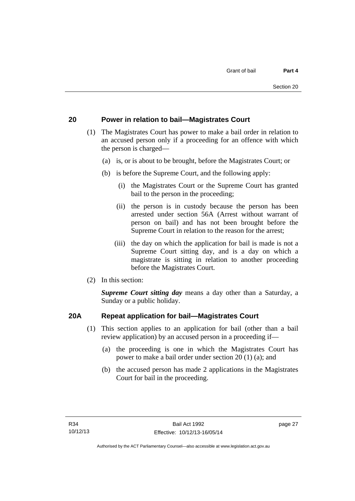### <span id="page-34-0"></span>**20 Power in relation to bail—Magistrates Court**

- (1) The Magistrates Court has power to make a bail order in relation to an accused person only if a proceeding for an offence with which the person is charged—
	- (a) is, or is about to be brought, before the Magistrates Court; or
	- (b) is before the Supreme Court, and the following apply:
		- (i) the Magistrates Court or the Supreme Court has granted bail to the person in the proceeding;
		- (ii) the person is in custody because the person has been arrested under section 56A (Arrest without warrant of person on bail) and has not been brought before the Supreme Court in relation to the reason for the arrest;
		- (iii) the day on which the application for bail is made is not a Supreme Court sitting day, and is a day on which a magistrate is sitting in relation to another proceeding before the Magistrates Court.
- (2) In this section:

*Supreme Court sitting day* means a day other than a Saturday, a Sunday or a public holiday.

### <span id="page-34-1"></span>**20A Repeat application for bail—Magistrates Court**

- (1) This section applies to an application for bail (other than a bail review application) by an accused person in a proceeding if—
	- (a) the proceeding is one in which the Magistrates Court has power to make a bail order under section 20 (1) (a); and
	- (b) the accused person has made 2 applications in the Magistrates Court for bail in the proceeding.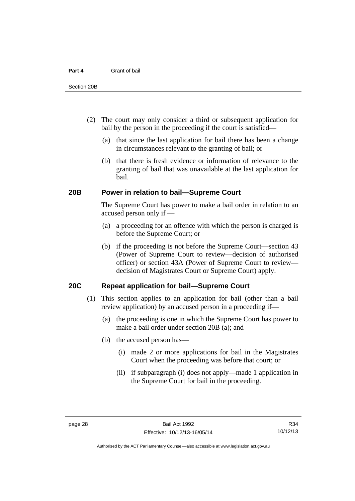- (2) The court may only consider a third or subsequent application for bail by the person in the proceeding if the court is satisfied—
	- (a) that since the last application for bail there has been a change in circumstances relevant to the granting of bail; or
	- (b) that there is fresh evidence or information of relevance to the granting of bail that was unavailable at the last application for bail.

### <span id="page-35-0"></span>**20B Power in relation to bail—Supreme Court**

 The Supreme Court has power to make a bail order in relation to an accused person only if —

- (a) a proceeding for an offence with which the person is charged is before the Supreme Court; or
- (b) if the proceeding is not before the Supreme Court—section 43 (Power of Supreme Court to review—decision of authorised officer) or section 43A (Power of Supreme Court to review decision of Magistrates Court or Supreme Court) apply.

### <span id="page-35-1"></span>**20C Repeat application for bail—Supreme Court**

- (1) This section applies to an application for bail (other than a bail review application) by an accused person in a proceeding if—
	- (a) the proceeding is one in which the Supreme Court has power to make a bail order under section 20B (a); and
	- (b) the accused person has—
		- (i) made 2 or more applications for bail in the Magistrates Court when the proceeding was before that court; or
		- (ii) if subparagraph (i) does not apply—made 1 application in the Supreme Court for bail in the proceeding.

R34 10/12/13

Authorised by the ACT Parliamentary Counsel—also accessible at www.legislation.act.gov.au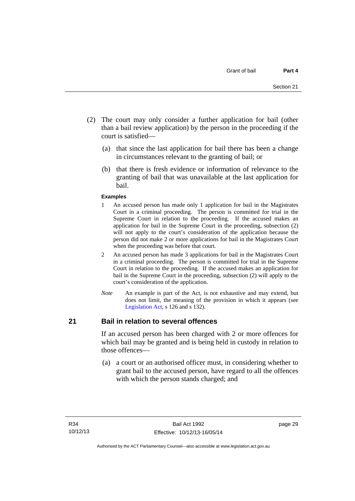- (2) The court may only consider a further application for bail (other than a bail review application) by the person in the proceeding if the court is satisfied—
	- (a) that since the last application for bail there has been a change in circumstances relevant to the granting of bail; or
	- (b) that there is fresh evidence or information of relevance to the granting of bail that was unavailable at the last application for bail.

#### **Examples**

- 1 An accused person has made only 1 application for bail in the Magistrates Court in a criminal proceeding. The person is committed for trial in the Supreme Court in relation to the proceeding. If the accused makes an application for bail in the Supreme Court in the proceeding, subsection (2) will not apply to the court's consideration of the application because the person did not make 2 or more applications for bail in the Magistrates Court when the proceeding was before that court.
- 2 An accused person has made 3 applications for bail in the Magistrates Court in a criminal proceeding. The person is committed for trial in the Supreme Court in relation to the proceeding. If the accused makes an application for bail in the Supreme Court in the proceeding, subsection (2) will apply to the court's consideration of the application.
- *Note* An example is part of the Act, is not exhaustive and may extend, but does not limit, the meaning of the provision in which it appears (see [Legislation Act,](http://www.legislation.act.gov.au/a/2001-14) s 126 and s 132).

#### **21 Bail in relation to several offences**

If an accused person has been charged with 2 or more offences for which bail may be granted and is being held in custody in relation to those offences—

 (a) a court or an authorised officer must, in considering whether to grant bail to the accused person, have regard to all the offences with which the person stands charged; and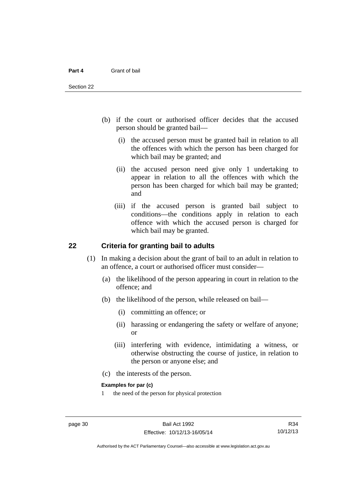- (b) if the court or authorised officer decides that the accused person should be granted bail—
	- (i) the accused person must be granted bail in relation to all the offences with which the person has been charged for which bail may be granted; and
	- (ii) the accused person need give only 1 undertaking to appear in relation to all the offences with which the person has been charged for which bail may be granted; and
	- (iii) if the accused person is granted bail subject to conditions—the conditions apply in relation to each offence with which the accused person is charged for which bail may be granted.

### **22 Criteria for granting bail to adults**

- (1) In making a decision about the grant of bail to an adult in relation to an offence, a court or authorised officer must consider—
	- (a) the likelihood of the person appearing in court in relation to the offence; and
	- (b) the likelihood of the person, while released on bail—
		- (i) committing an offence; or
		- (ii) harassing or endangering the safety or welfare of anyone; or
		- (iii) interfering with evidence, intimidating a witness, or otherwise obstructing the course of justice, in relation to the person or anyone else; and
	- (c) the interests of the person.

#### **Examples for par (c)**

1 the need of the person for physical protection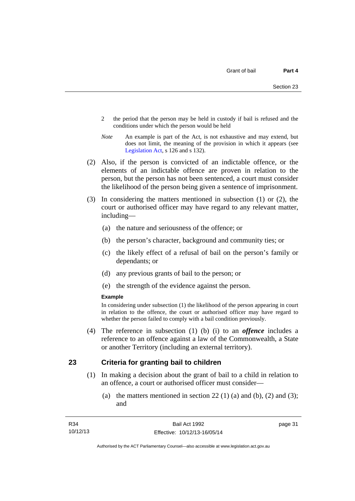- 2 the period that the person may be held in custody if bail is refused and the conditions under which the person would be held
- *Note* An example is part of the Act, is not exhaustive and may extend, but does not limit, the meaning of the provision in which it appears (see [Legislation Act,](http://www.legislation.act.gov.au/a/2001-14) s 126 and s 132).
- (2) Also, if the person is convicted of an indictable offence, or the elements of an indictable offence are proven in relation to the person, but the person has not been sentenced, a court must consider the likelihood of the person being given a sentence of imprisonment.
- (3) In considering the matters mentioned in subsection (1) or (2), the court or authorised officer may have regard to any relevant matter, including—
	- (a) the nature and seriousness of the offence; or
	- (b) the person's character, background and community ties; or
	- (c) the likely effect of a refusal of bail on the person's family or dependants; or
	- (d) any previous grants of bail to the person; or
	- (e) the strength of the evidence against the person.

#### **Example**

In considering under subsection (1) the likelihood of the person appearing in court in relation to the offence, the court or authorised officer may have regard to whether the person failed to comply with a bail condition previously.

 (4) The reference in subsection (1) (b) (i) to an *offence* includes a reference to an offence against a law of the Commonwealth, a State or another Territory (including an external territory).

#### **23 Criteria for granting bail to children**

- (1) In making a decision about the grant of bail to a child in relation to an offence, a court or authorised officer must consider—
	- (a) the matters mentioned in section  $22(1)$  (a) and (b), (2) and (3); and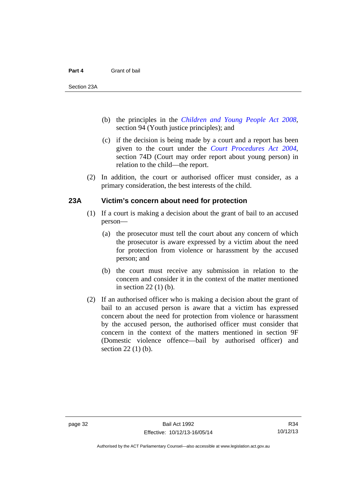- (b) the principles in the *[Children and Young People Act 2008](http://www.legislation.act.gov.au/a/2008-19)*, section 94 (Youth justice principles); and
- (c) if the decision is being made by a court and a report has been given to the court under the *[Court Procedures Act 2004](http://www.legislation.act.gov.au/a/2004-59)*, section 74D (Court may order report about young person) in relation to the child—the report.
- (2) In addition, the court or authorised officer must consider, as a primary consideration, the best interests of the child.

## **23A Victim's concern about need for protection**

- (1) If a court is making a decision about the grant of bail to an accused person—
	- (a) the prosecutor must tell the court about any concern of which the prosecutor is aware expressed by a victim about the need for protection from violence or harassment by the accused person; and
	- (b) the court must receive any submission in relation to the concern and consider it in the context of the matter mentioned in section 22 (1) (b).
- (2) If an authorised officer who is making a decision about the grant of bail to an accused person is aware that a victim has expressed concern about the need for protection from violence or harassment by the accused person, the authorised officer must consider that concern in the context of the matters mentioned in section 9F (Domestic violence offence—bail by authorised officer) and section 22 (1) (b).

Authorised by the ACT Parliamentary Counsel—also accessible at www.legislation.act.gov.au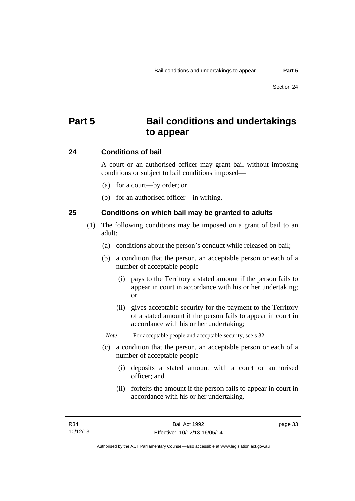# **Part 5 Bail conditions and undertakings to appear**

#### **24 Conditions of bail**

A court or an authorised officer may grant bail without imposing conditions or subject to bail conditions imposed—

- (a) for a court—by order; or
- (b) for an authorised officer—in writing.

#### **25 Conditions on which bail may be granted to adults**

- (1) The following conditions may be imposed on a grant of bail to an adult:
	- (a) conditions about the person's conduct while released on bail;
	- (b) a condition that the person, an acceptable person or each of a number of acceptable people—
		- (i) pays to the Territory a stated amount if the person fails to appear in court in accordance with his or her undertaking; or
		- (ii) gives acceptable security for the payment to the Territory of a stated amount if the person fails to appear in court in accordance with his or her undertaking;

*Note* For acceptable people and acceptable security, see s 32.

- (c) a condition that the person, an acceptable person or each of a number of acceptable people—
	- (i) deposits a stated amount with a court or authorised officer; and
	- (ii) forfeits the amount if the person fails to appear in court in accordance with his or her undertaking.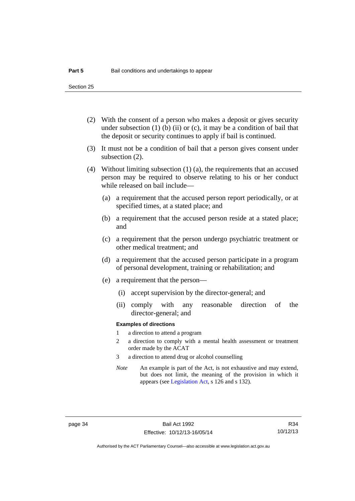Section 25

- (2) With the consent of a person who makes a deposit or gives security under subsection  $(1)$  (b)  $(ii)$  or  $(c)$ , it may be a condition of bail that the deposit or security continues to apply if bail is continued.
- (3) It must not be a condition of bail that a person gives consent under subsection (2).
- (4) Without limiting subsection (1) (a), the requirements that an accused person may be required to observe relating to his or her conduct while released on bail include—
	- (a) a requirement that the accused person report periodically, or at specified times, at a stated place; and
	- (b) a requirement that the accused person reside at a stated place; and
	- (c) a requirement that the person undergo psychiatric treatment or other medical treatment; and
	- (d) a requirement that the accused person participate in a program of personal development, training or rehabilitation; and
	- (e) a requirement that the person—
		- (i) accept supervision by the director-general; and
		- (ii) comply with any reasonable direction of the director-general; and

#### **Examples of directions**

- 1 a direction to attend a program
- 2 a direction to comply with a mental health assessment or treatment order made by the ACAT
- 3 a direction to attend drug or alcohol counselling
- *Note* An example is part of the Act, is not exhaustive and may extend, but does not limit, the meaning of the provision in which it appears (see [Legislation Act,](http://www.legislation.act.gov.au/a/2001-14) s 126 and s 132).

Authorised by the ACT Parliamentary Counsel—also accessible at www.legislation.act.gov.au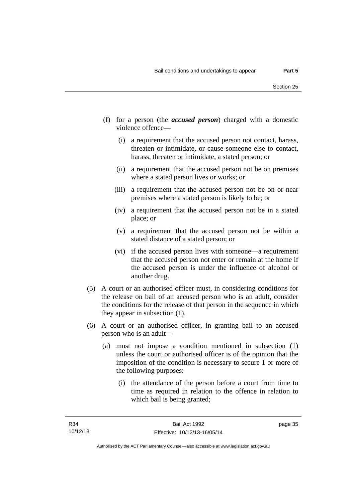- (f) for a person (the *accused person*) charged with a domestic violence offence—
	- (i) a requirement that the accused person not contact, harass, threaten or intimidate, or cause someone else to contact, harass, threaten or intimidate, a stated person; or
	- (ii) a requirement that the accused person not be on premises where a stated person lives or works; or
	- (iii) a requirement that the accused person not be on or near premises where a stated person is likely to be; or
	- (iv) a requirement that the accused person not be in a stated place; or
	- (v) a requirement that the accused person not be within a stated distance of a stated person; or
	- (vi) if the accused person lives with someone—a requirement that the accused person not enter or remain at the home if the accused person is under the influence of alcohol or another drug.
- (5) A court or an authorised officer must, in considering conditions for the release on bail of an accused person who is an adult, consider the conditions for the release of that person in the sequence in which they appear in subsection (1).
- (6) A court or an authorised officer, in granting bail to an accused person who is an adult—
	- (a) must not impose a condition mentioned in subsection (1) unless the court or authorised officer is of the opinion that the imposition of the condition is necessary to secure 1 or more of the following purposes:
		- (i) the attendance of the person before a court from time to time as required in relation to the offence in relation to which bail is being granted;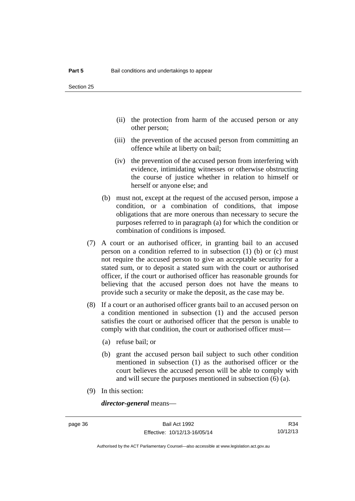- (ii) the protection from harm of the accused person or any other person;
- (iii) the prevention of the accused person from committing an offence while at liberty on bail;
- (iv) the prevention of the accused person from interfering with evidence, intimidating witnesses or otherwise obstructing the course of justice whether in relation to himself or herself or anyone else; and
- (b) must not, except at the request of the accused person, impose a condition, or a combination of conditions, that impose obligations that are more onerous than necessary to secure the purposes referred to in paragraph (a) for which the condition or combination of conditions is imposed.
- (7) A court or an authorised officer, in granting bail to an accused person on a condition referred to in subsection (1) (b) or (c) must not require the accused person to give an acceptable security for a stated sum, or to deposit a stated sum with the court or authorised officer, if the court or authorised officer has reasonable grounds for believing that the accused person does not have the means to provide such a security or make the deposit, as the case may be.
- (8) If a court or an authorised officer grants bail to an accused person on a condition mentioned in subsection (1) and the accused person satisfies the court or authorised officer that the person is unable to comply with that condition, the court or authorised officer must—
	- (a) refuse bail; or
	- (b) grant the accused person bail subject to such other condition mentioned in subsection (1) as the authorised officer or the court believes the accused person will be able to comply with and will secure the purposes mentioned in subsection (6) (a).
- (9) In this section:

*director-general* means—

R34 10/12/13

Authorised by the ACT Parliamentary Counsel—also accessible at www.legislation.act.gov.au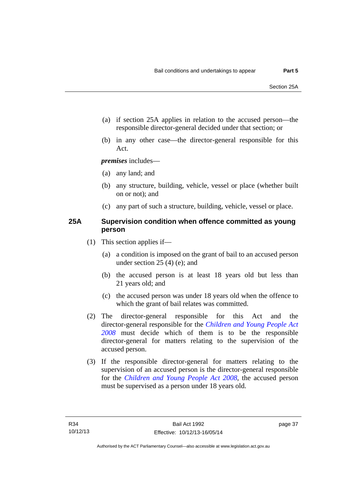- (a) if section 25A applies in relation to the accused person—the responsible director-general decided under that section; or
- (b) in any other case—the director-general responsible for this Act.

*premises* includes—

- (a) any land; and
- (b) any structure, building, vehicle, vessel or place (whether built on or not); and
- (c) any part of such a structure, building, vehicle, vessel or place.

## **25A Supervision condition when offence committed as young person**

- (1) This section applies if—
	- (a) a condition is imposed on the grant of bail to an accused person under section 25 (4) (e); and
	- (b) the accused person is at least 18 years old but less than 21 years old; and
	- (c) the accused person was under 18 years old when the offence to which the grant of bail relates was committed.
- (2) The director-general responsible for this Act and the director-general responsible for the *[Children and Young People Act](http://www.legislation.act.gov.au/a/2008-19)  [2008](http://www.legislation.act.gov.au/a/2008-19)* must decide which of them is to be the responsible director-general for matters relating to the supervision of the accused person.
- (3) If the responsible director-general for matters relating to the supervision of an accused person is the director-general responsible for the *[Children and Young People Act 2008](http://www.legislation.act.gov.au/a/2008-19)*, the accused person must be supervised as a person under 18 years old.

page 37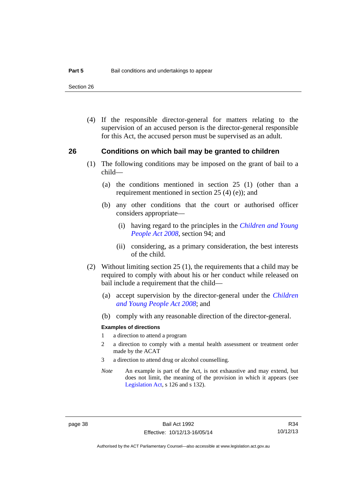Section 26

 (4) If the responsible director-general for matters relating to the supervision of an accused person is the director-general responsible for this Act, the accused person must be supervised as an adult.

#### **26 Conditions on which bail may be granted to children**

- (1) The following conditions may be imposed on the grant of bail to a child—
	- (a) the conditions mentioned in section 25 (1) (other than a requirement mentioned in section 25 (4) (e)); and
	- (b) any other conditions that the court or authorised officer considers appropriate—
		- (i) having regard to the principles in the *[Children and Young](http://www.legislation.act.gov.au/a/2008-19)  [People Act 2008](http://www.legislation.act.gov.au/a/2008-19)*, section 94; and
		- (ii) considering, as a primary consideration, the best interests of the child.
- (2) Without limiting section 25 (1), the requirements that a child may be required to comply with about his or her conduct while released on bail include a requirement that the child—
	- (a) accept supervision by the director-general under the *[Children](http://www.legislation.act.gov.au/a/2008-19)  [and Young People Act 2008](http://www.legislation.act.gov.au/a/2008-19)*; and
	- (b) comply with any reasonable direction of the director-general.

#### **Examples of directions**

- 1 a direction to attend a program
- 2 a direction to comply with a mental health assessment or treatment order made by the ACAT
- 3 a direction to attend drug or alcohol counselling.
- *Note* An example is part of the Act, is not exhaustive and may extend, but does not limit, the meaning of the provision in which it appears (see [Legislation Act,](http://www.legislation.act.gov.au/a/2001-14) s 126 and s 132).

R34 10/12/13

Authorised by the ACT Parliamentary Counsel—also accessible at www.legislation.act.gov.au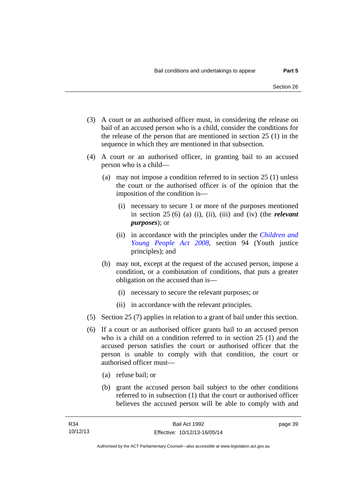- (3) A court or an authorised officer must, in considering the release on bail of an accused person who is a child, consider the conditions for the release of the person that are mentioned in section 25 (1) in the sequence in which they are mentioned in that subsection.
- (4) A court or an authorised officer, in granting bail to an accused person who is a child—
	- (a) may not impose a condition referred to in section 25 (1) unless the court or the authorised officer is of the opinion that the imposition of the condition is—
		- (i) necessary to secure 1 or more of the purposes mentioned in section 25 (6) (a) (i), (ii), (iii) and (iv) (the *relevant purposes*); or
		- (ii) in accordance with the principles under the *[Children and](http://www.legislation.act.gov.au/a/2008-19)  [Young People Act 2008](http://www.legislation.act.gov.au/a/2008-19)*, section 94 (Youth justice principles); and
	- (b) may not, except at the request of the accused person, impose a condition, or a combination of conditions, that puts a greater obligation on the accused than is—
		- (i) necessary to secure the relevant purposes; or
		- (ii) in accordance with the relevant principles.
- (5) Section 25 (7) applies in relation to a grant of bail under this section.
- (6) If a court or an authorised officer grants bail to an accused person who is a child on a condition referred to in section 25 (1) and the accused person satisfies the court or authorised officer that the person is unable to comply with that condition, the court or authorised officer must—
	- (a) refuse bail; or
	- (b) grant the accused person bail subject to the other conditions referred to in subsection (1) that the court or authorised officer believes the accused person will be able to comply with and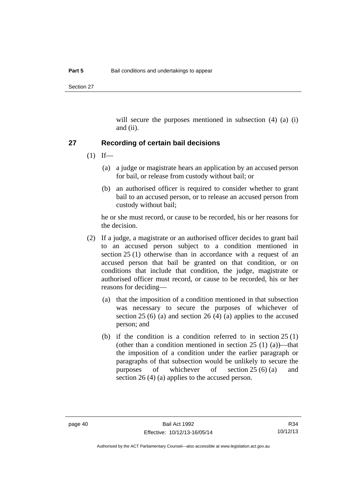Section 27

will secure the purposes mentioned in subsection (4) (a) (i) and (ii).

#### **27 Recording of certain bail decisions**

- $(1)$  If—
	- (a) a judge or magistrate hears an application by an accused person for bail, or release from custody without bail; or
	- (b) an authorised officer is required to consider whether to grant bail to an accused person, or to release an accused person from custody without bail;

he or she must record, or cause to be recorded, his or her reasons for the decision.

- (2) If a judge, a magistrate or an authorised officer decides to grant bail to an accused person subject to a condition mentioned in section 25 (1) otherwise than in accordance with a request of an accused person that bail be granted on that condition, or on conditions that include that condition, the judge, magistrate or authorised officer must record, or cause to be recorded, his or her reasons for deciding—
	- (a) that the imposition of a condition mentioned in that subsection was necessary to secure the purposes of whichever of section 25 (6) (a) and section 26 (4) (a) applies to the accused person; and
	- (b) if the condition is a condition referred to in section  $25(1)$ (other than a condition mentioned in section  $25(1)(a)$ )—that the imposition of a condition under the earlier paragraph or paragraphs of that subsection would be unlikely to secure the purposes of whichever of section 25 (6) (a) and section 26 (4) (a) applies to the accused person.

Authorised by the ACT Parliamentary Counsel—also accessible at www.legislation.act.gov.au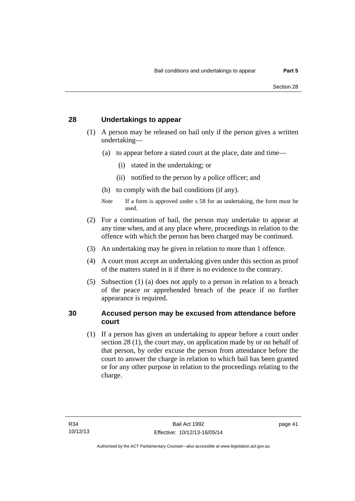### **28 Undertakings to appear**

- (1) A person may be released on bail only if the person gives a written undertaking—
	- (a) to appear before a stated court at the place, date and time—
		- (i) stated in the undertaking; or
		- (ii) notified to the person by a police officer; and
	- (b) to comply with the bail conditions (if any).
	- *Note* If a form is approved under s 58 for an undertaking, the form must be used.
- (2) For a continuation of bail, the person may undertake to appear at any time when, and at any place where, proceedings in relation to the offence with which the person has been charged may be continued.
- (3) An undertaking may be given in relation to more than 1 offence.
- (4) A court must accept an undertaking given under this section as proof of the matters stated in it if there is no evidence to the contrary.
- (5) Subsection (1) (a) does not apply to a person in relation to a breach of the peace or apprehended breach of the peace if no further appearance is required.

### **30 Accused person may be excused from attendance before court**

(1) If a person has given an undertaking to appear before a court under section 28 (1), the court may, on application made by or on behalf of that person, by order excuse the person from attendance before the court to answer the charge in relation to which bail has been granted or for any other purpose in relation to the proceedings relating to the charge.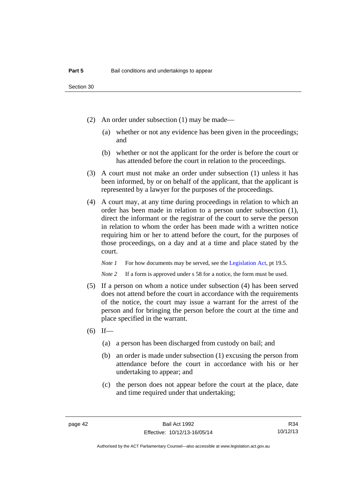- (2) An order under subsection (1) may be made—
	- (a) whether or not any evidence has been given in the proceedings; and
	- (b) whether or not the applicant for the order is before the court or has attended before the court in relation to the proceedings.
- (3) A court must not make an order under subsection (1) unless it has been informed, by or on behalf of the applicant, that the applicant is represented by a lawyer for the purposes of the proceedings.
- (4) A court may, at any time during proceedings in relation to which an order has been made in relation to a person under subsection (1), direct the informant or the registrar of the court to serve the person in relation to whom the order has been made with a written notice requiring him or her to attend before the court, for the purposes of those proceedings, on a day and at a time and place stated by the court.

*Note 1* For how documents may be served, see the [Legislation Act,](http://www.legislation.act.gov.au/a/2001-14) pt 19.5.

*Note* 2 If a form is approved under s 58 for a notice, the form must be used.

- (5) If a person on whom a notice under subsection (4) has been served does not attend before the court in accordance with the requirements of the notice, the court may issue a warrant for the arrest of the person and for bringing the person before the court at the time and place specified in the warrant.
- $(6)$  If—
	- (a) a person has been discharged from custody on bail; and
	- (b) an order is made under subsection (1) excusing the person from attendance before the court in accordance with his or her undertaking to appear; and
	- (c) the person does not appear before the court at the place, date and time required under that undertaking;

R34 10/12/13

Authorised by the ACT Parliamentary Counsel—also accessible at www.legislation.act.gov.au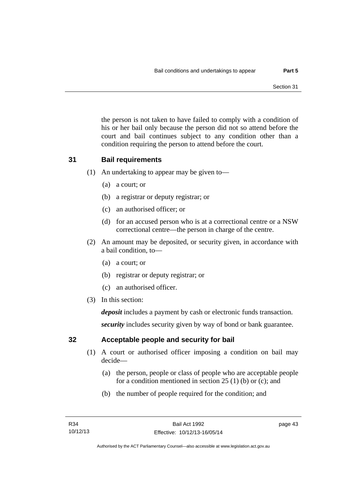the person is not taken to have failed to comply with a condition of his or her bail only because the person did not so attend before the court and bail continues subject to any condition other than a condition requiring the person to attend before the court.

## **31 Bail requirements**

- (1) An undertaking to appear may be given to—
	- (a) a court; or
	- (b) a registrar or deputy registrar; or
	- (c) an authorised officer; or
	- (d) for an accused person who is at a correctional centre or a NSW correctional centre—the person in charge of the centre.
- (2) An amount may be deposited, or security given, in accordance with a bail condition, to—
	- (a) a court; or
	- (b) registrar or deputy registrar; or
	- (c) an authorised officer.
- (3) In this section:

*deposit* includes a payment by cash or electronic funds transaction.

*security* includes security given by way of bond or bank guarantee.

## **32 Acceptable people and security for bail**

- (1) A court or authorised officer imposing a condition on bail may decide—
	- (a) the person, people or class of people who are acceptable people for a condition mentioned in section 25 (1) (b) or (c); and
	- (b) the number of people required for the condition; and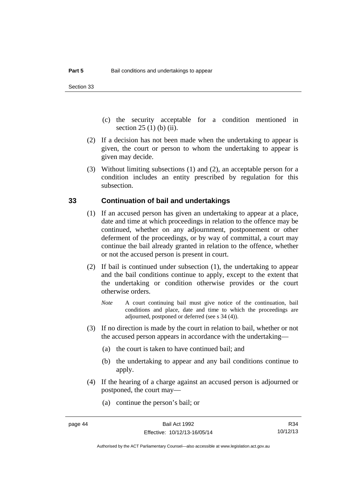- (c) the security acceptable for a condition mentioned in section 25 (1) (b) (ii).
- (2) If a decision has not been made when the undertaking to appear is given, the court or person to whom the undertaking to appear is given may decide.
- (3) Without limiting subsections (1) and (2), an acceptable person for a condition includes an entity prescribed by regulation for this subsection.

#### **33 Continuation of bail and undertakings**

- (1) If an accused person has given an undertaking to appear at a place, date and time at which proceedings in relation to the offence may be continued, whether on any adjournment, postponement or other deferment of the proceedings, or by way of committal, a court may continue the bail already granted in relation to the offence, whether or not the accused person is present in court.
- (2) If bail is continued under subsection (1), the undertaking to appear and the bail conditions continue to apply, except to the extent that the undertaking or condition otherwise provides or the court otherwise orders.
	- *Note* A court continuing bail must give notice of the continuation, bail conditions and place, date and time to which the proceedings are adjourned, postponed or deferred (see s 34 (4)).
- (3) If no direction is made by the court in relation to bail, whether or not the accused person appears in accordance with the undertaking—
	- (a) the court is taken to have continued bail; and
	- (b) the undertaking to appear and any bail conditions continue to apply.
- (4) If the hearing of a charge against an accused person is adjourned or postponed, the court may—
	- (a) continue the person's bail; or

R34 10/12/13

Authorised by the ACT Parliamentary Counsel—also accessible at www.legislation.act.gov.au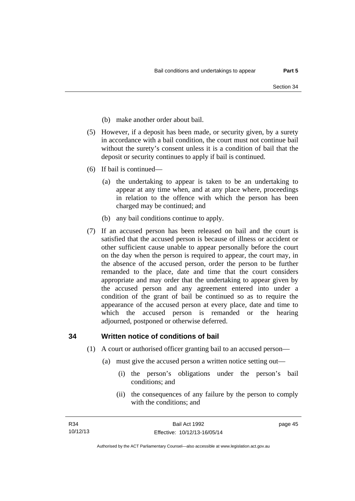- (b) make another order about bail.
- (5) However, if a deposit has been made, or security given, by a surety in accordance with a bail condition, the court must not continue bail without the surety's consent unless it is a condition of bail that the deposit or security continues to apply if bail is continued.
- (6) If bail is continued—
	- (a) the undertaking to appear is taken to be an undertaking to appear at any time when, and at any place where, proceedings in relation to the offence with which the person has been charged may be continued; and
	- (b) any bail conditions continue to apply.
- (7) If an accused person has been released on bail and the court is satisfied that the accused person is because of illness or accident or other sufficient cause unable to appear personally before the court on the day when the person is required to appear, the court may, in the absence of the accused person, order the person to be further remanded to the place, date and time that the court considers appropriate and may order that the undertaking to appear given by the accused person and any agreement entered into under a condition of the grant of bail be continued so as to require the appearance of the accused person at every place, date and time to which the accused person is remanded or the hearing adjourned, postponed or otherwise deferred.

### **34 Written notice of conditions of bail**

- (1) A court or authorised officer granting bail to an accused person—
	- (a) must give the accused person a written notice setting out—
		- (i) the person's obligations under the person's bail conditions; and
		- (ii) the consequences of any failure by the person to comply with the conditions; and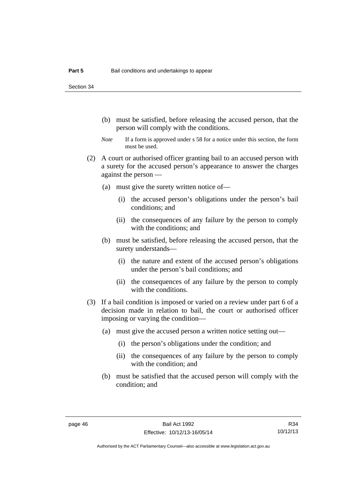Section 34

- (b) must be satisfied, before releasing the accused person, that the person will comply with the conditions.
- *Note* If a form is approved under s 58 for a notice under this section, the form must be used.
- (2) A court or authorised officer granting bail to an accused person with a surety for the accused person's appearance to answer the charges against the person —
	- (a) must give the surety written notice of—
		- (i) the accused person's obligations under the person's bail conditions; and
		- (ii) the consequences of any failure by the person to comply with the conditions; and
	- (b) must be satisfied, before releasing the accused person, that the surety understands—
		- (i) the nature and extent of the accused person's obligations under the person's bail conditions; and
		- (ii) the consequences of any failure by the person to comply with the conditions.
- (3) If a bail condition is imposed or varied on a review under part 6 of a decision made in relation to bail, the court or authorised officer imposing or varying the condition—
	- (a) must give the accused person a written notice setting out—
		- (i) the person's obligations under the condition; and
		- (ii) the consequences of any failure by the person to comply with the condition; and
	- (b) must be satisfied that the accused person will comply with the condition; and

R34 10/12/13

Authorised by the ACT Parliamentary Counsel—also accessible at www.legislation.act.gov.au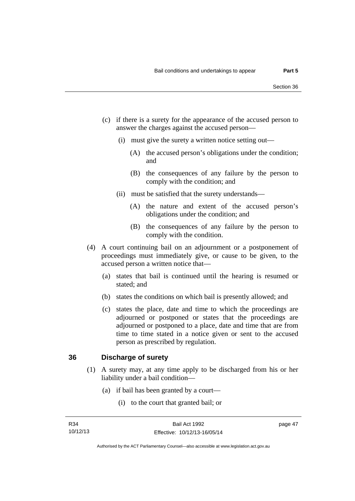- (c) if there is a surety for the appearance of the accused person to answer the charges against the accused person—
	- (i) must give the surety a written notice setting out—
		- (A) the accused person's obligations under the condition; and
		- (B) the consequences of any failure by the person to comply with the condition; and
	- (ii) must be satisfied that the surety understands—
		- (A) the nature and extent of the accused person's obligations under the condition; and
		- (B) the consequences of any failure by the person to comply with the condition.
- (4) A court continuing bail on an adjournment or a postponement of proceedings must immediately give, or cause to be given, to the accused person a written notice that—
	- (a) states that bail is continued until the hearing is resumed or stated; and
	- (b) states the conditions on which bail is presently allowed; and
	- (c) states the place, date and time to which the proceedings are adjourned or postponed or states that the proceedings are adjourned or postponed to a place, date and time that are from time to time stated in a notice given or sent to the accused person as prescribed by regulation.

#### **36 Discharge of surety**

- (1) A surety may, at any time apply to be discharged from his or her liability under a bail condition—
	- (a) if bail has been granted by a court—
		- (i) to the court that granted bail; or

page 47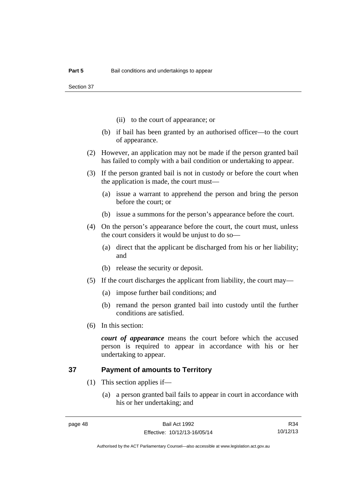Section 37

- (ii) to the court of appearance; or
- (b) if bail has been granted by an authorised officer—to the court of appearance.
- (2) However, an application may not be made if the person granted bail has failed to comply with a bail condition or undertaking to appear.
- (3) If the person granted bail is not in custody or before the court when the application is made, the court must—
	- (a) issue a warrant to apprehend the person and bring the person before the court; or
	- (b) issue a summons for the person's appearance before the court.
- (4) On the person's appearance before the court, the court must, unless the court considers it would be unjust to do so—
	- (a) direct that the applicant be discharged from his or her liability; and
	- (b) release the security or deposit.
- (5) If the court discharges the applicant from liability, the court may—
	- (a) impose further bail conditions; and
	- (b) remand the person granted bail into custody until the further conditions are satisfied.
- (6) In this section:

*court of appearance* means the court before which the accused person is required to appear in accordance with his or her undertaking to appear.

## **37 Payment of amounts to Territory**

- (1) This section applies if—
	- (a) a person granted bail fails to appear in court in accordance with his or her undertaking; and

R34 10/12/13

Authorised by the ACT Parliamentary Counsel—also accessible at www.legislation.act.gov.au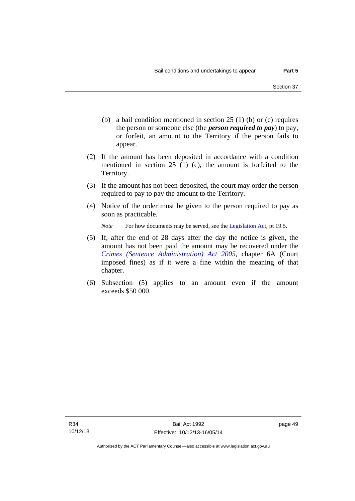- (b) a bail condition mentioned in section 25 (1) (b) or (c) requires the person or someone else (the *person required to pay*) to pay, or forfeit, an amount to the Territory if the person fails to appear.
- (2) If the amount has been deposited in accordance with a condition mentioned in section 25 (1) (c), the amount is forfeited to the Territory.
- (3) If the amount has not been deposited, the court may order the person required to pay to pay the amount to the Territory.
- (4) Notice of the order must be given to the person required to pay as soon as practicable.

*Note* For how documents may be served, see the [Legislation Act,](http://www.legislation.act.gov.au/a/2001-14) pt 19.5.

- (5) If, after the end of 28 days after the day the notice is given, the amount has not been paid the amount may be recovered under the *[Crimes \(Sentence Administration\) Act 2005](http://www.legislation.act.gov.au/a/2005-59)*, chapter 6A (Court imposed fines) as if it were a fine within the meaning of that chapter.
- (6) Subsection (5) applies to an amount even if the amount exceeds \$50 000.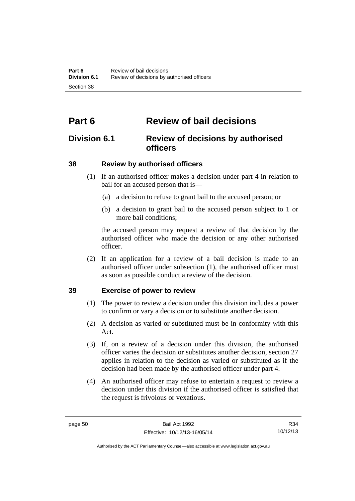# **Part 6 Review of bail decisions**

## **Division 6.1 Review of decisions by authorised officers**

## **38 Review by authorised officers**

- (1) If an authorised officer makes a decision under part 4 in relation to bail for an accused person that is—
	- (a) a decision to refuse to grant bail to the accused person; or
	- (b) a decision to grant bail to the accused person subject to 1 or more bail conditions;

the accused person may request a review of that decision by the authorised officer who made the decision or any other authorised officer.

 (2) If an application for a review of a bail decision is made to an authorised officer under subsection (1), the authorised officer must as soon as possible conduct a review of the decision.

## **39 Exercise of power to review**

- (1) The power to review a decision under this division includes a power to confirm or vary a decision or to substitute another decision.
- (2) A decision as varied or substituted must be in conformity with this Act.
- (3) If, on a review of a decision under this division, the authorised officer varies the decision or substitutes another decision, section 27 applies in relation to the decision as varied or substituted as if the decision had been made by the authorised officer under part 4.
- (4) An authorised officer may refuse to entertain a request to review a decision under this division if the authorised officer is satisfied that the request is frivolous or vexatious.

R34 10/12/13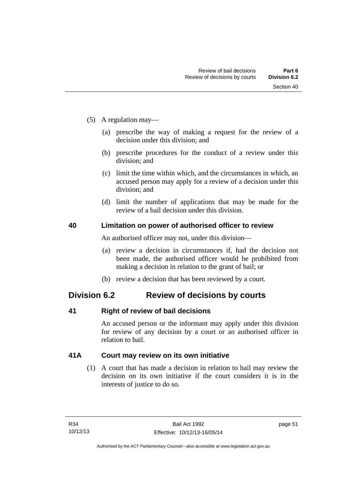- (5) A regulation may—
	- (a) prescribe the way of making a request for the review of a decision under this division; and
	- (b) prescribe procedures for the conduct of a review under this division; and
	- (c) limit the time within which, and the circumstances in which, an accused person may apply for a review of a decision under this division; and
	- (d) limit the number of applications that may be made for the review of a bail decision under this division.

### **40 Limitation on power of authorised officer to review**

An authorised officer may not, under this division—

- (a) review a decision in circumstances if, had the decision not been made, the authorised officer would be prohibited from making a decision in relation to the grant of bail; or
- (b) review a decision that has been reviewed by a court.

## **Division 6.2 Review of decisions by courts**

### **41 Right of review of bail decisions**

An accused person or the informant may apply under this division for review of any decision by a court or an authorised officer in relation to bail.

## **41A Court may review on its own initiative**

 (1) A court that has made a decision in relation to bail may review the decision on its own initiative if the court considers it is in the interests of justice to do so.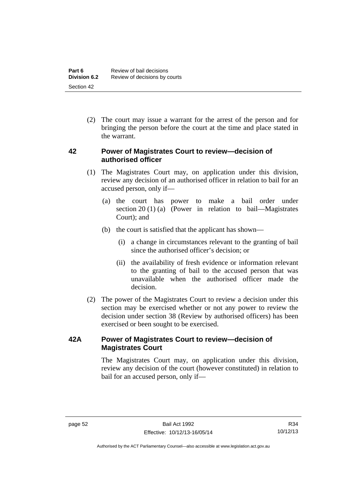(2) The court may issue a warrant for the arrest of the person and for bringing the person before the court at the time and place stated in the warrant.

## **42 Power of Magistrates Court to review—decision of authorised officer**

- (1) The Magistrates Court may, on application under this division, review any decision of an authorised officer in relation to bail for an accused person, only if—
	- (a) the court has power to make a bail order under section 20 (1) (a) (Power in relation to bail—Magistrates Court); and
	- (b) the court is satisfied that the applicant has shown—
		- (i) a change in circumstances relevant to the granting of bail since the authorised officer's decision; or
		- (ii) the availability of fresh evidence or information relevant to the granting of bail to the accused person that was unavailable when the authorised officer made the decision.
- (2) The power of the Magistrates Court to review a decision under this section may be exercised whether or not any power to review the decision under section 38 (Review by authorised officers) has been exercised or been sought to be exercised.

## **42A Power of Magistrates Court to review—decision of Magistrates Court**

 The Magistrates Court may, on application under this division, review any decision of the court (however constituted) in relation to bail for an accused person, only if—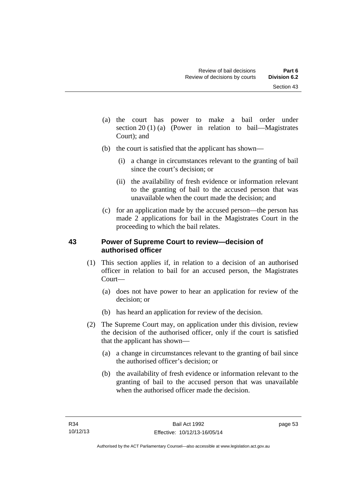- (a) the court has power to make a bail order under section 20 (1) (a) (Power in relation to bail—Magistrates Court); and
- (b) the court is satisfied that the applicant has shown—
	- (i) a change in circumstances relevant to the granting of bail since the court's decision; or
	- (ii) the availability of fresh evidence or information relevant to the granting of bail to the accused person that was unavailable when the court made the decision; and
- (c) for an application made by the accused person—the person has made 2 applications for bail in the Magistrates Court in the proceeding to which the bail relates.

## **43 Power of Supreme Court to review—decision of authorised officer**

- (1) This section applies if, in relation to a decision of an authorised officer in relation to bail for an accused person, the Magistrates Court—
	- (a) does not have power to hear an application for review of the decision; or
	- (b) has heard an application for review of the decision.
- (2) The Supreme Court may, on application under this division, review the decision of the authorised officer, only if the court is satisfied that the applicant has shown—
	- (a) a change in circumstances relevant to the granting of bail since the authorised officer's decision; or
	- (b) the availability of fresh evidence or information relevant to the granting of bail to the accused person that was unavailable when the authorised officer made the decision.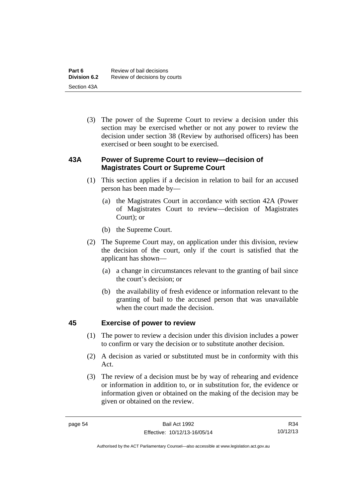(3) The power of the Supreme Court to review a decision under this section may be exercised whether or not any power to review the decision under section 38 (Review by authorised officers) has been exercised or been sought to be exercised.

## **43A Power of Supreme Court to review—decision of Magistrates Court or Supreme Court**

- (1) This section applies if a decision in relation to bail for an accused person has been made by—
	- (a) the Magistrates Court in accordance with section 42A (Power of Magistrates Court to review—decision of Magistrates Court); or
	- (b) the Supreme Court.
- (2) The Supreme Court may, on application under this division, review the decision of the court, only if the court is satisfied that the applicant has shown—
	- (a) a change in circumstances relevant to the granting of bail since the court's decision; or
	- (b) the availability of fresh evidence or information relevant to the granting of bail to the accused person that was unavailable when the court made the decision.

## **45 Exercise of power to review**

- (1) The power to review a decision under this division includes a power to confirm or vary the decision or to substitute another decision.
- (2) A decision as varied or substituted must be in conformity with this Act.
- (3) The review of a decision must be by way of rehearing and evidence or information in addition to, or in substitution for, the evidence or information given or obtained on the making of the decision may be given or obtained on the review.

Authorised by the ACT Parliamentary Counsel—also accessible at www.legislation.act.gov.au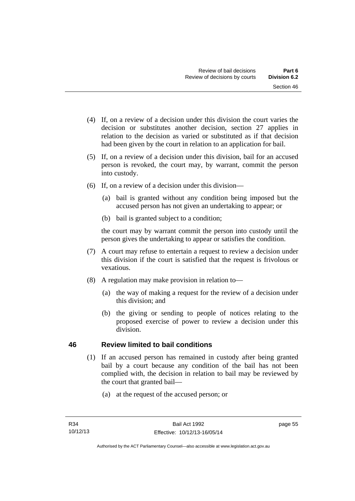- (4) If, on a review of a decision under this division the court varies the decision or substitutes another decision, section 27 applies in relation to the decision as varied or substituted as if that decision had been given by the court in relation to an application for bail.
- (5) If, on a review of a decision under this division, bail for an accused person is revoked, the court may, by warrant, commit the person into custody.
- (6) If, on a review of a decision under this division—
	- (a) bail is granted without any condition being imposed but the accused person has not given an undertaking to appear; or
	- (b) bail is granted subject to a condition;

the court may by warrant commit the person into custody until the person gives the undertaking to appear or satisfies the condition.

- (7) A court may refuse to entertain a request to review a decision under this division if the court is satisfied that the request is frivolous or vexatious.
- (8) A regulation may make provision in relation to—
	- (a) the way of making a request for the review of a decision under this division; and
	- (b) the giving or sending to people of notices relating to the proposed exercise of power to review a decision under this division.

## **46 Review limited to bail conditions**

- (1) If an accused person has remained in custody after being granted bail by a court because any condition of the bail has not been complied with, the decision in relation to bail may be reviewed by the court that granted bail—
	- (a) at the request of the accused person; or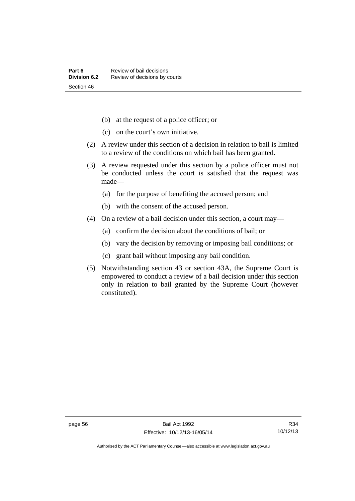- (b) at the request of a police officer; or
- (c) on the court's own initiative.
- (2) A review under this section of a decision in relation to bail is limited to a review of the conditions on which bail has been granted.
- (3) A review requested under this section by a police officer must not be conducted unless the court is satisfied that the request was made—
	- (a) for the purpose of benefiting the accused person; and
	- (b) with the consent of the accused person.
- (4) On a review of a bail decision under this section, a court may—
	- (a) confirm the decision about the conditions of bail; or
	- (b) vary the decision by removing or imposing bail conditions; or
	- (c) grant bail without imposing any bail condition.
- (5) Notwithstanding section 43 or section 43A, the Supreme Court is empowered to conduct a review of a bail decision under this section only in relation to bail granted by the Supreme Court (however constituted).

Authorised by the ACT Parliamentary Counsel—also accessible at www.legislation.act.gov.au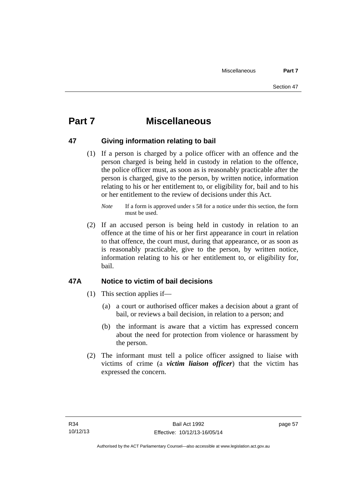# **Part 7 Miscellaneous**

## **47 Giving information relating to bail**

 (1) If a person is charged by a police officer with an offence and the person charged is being held in custody in relation to the offence, the police officer must, as soon as is reasonably practicable after the person is charged, give to the person, by written notice, information relating to his or her entitlement to, or eligibility for, bail and to his or her entitlement to the review of decisions under this Act.

 (2) If an accused person is being held in custody in relation to an offence at the time of his or her first appearance in court in relation to that offence, the court must, during that appearance, or as soon as is reasonably practicable, give to the person, by written notice, information relating to his or her entitlement to, or eligibility for, bail.

## **47A Notice to victim of bail decisions**

- (1) This section applies if—
	- (a) a court or authorised officer makes a decision about a grant of bail, or reviews a bail decision, in relation to a person; and
	- (b) the informant is aware that a victim has expressed concern about the need for protection from violence or harassment by the person.
- (2) The informant must tell a police officer assigned to liaise with victims of crime (a *victim liaison officer*) that the victim has expressed the concern.

page 57

*Note* If a form is approved under s 58 for a notice under this section, the form must be used.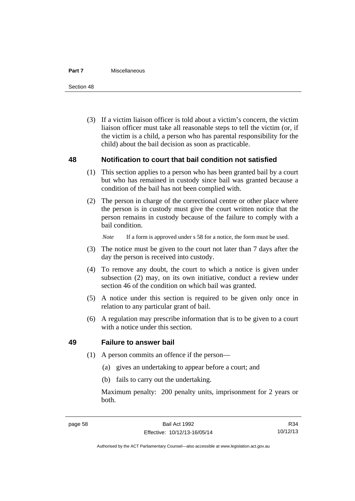#### **Part 7** Miscellaneous

Section 48

 (3) If a victim liaison officer is told about a victim's concern, the victim liaison officer must take all reasonable steps to tell the victim (or, if the victim is a child, a person who has parental responsibility for the child) about the bail decision as soon as practicable.

### **48 Notification to court that bail condition not satisfied**

- (1) This section applies to a person who has been granted bail by a court but who has remained in custody since bail was granted because a condition of the bail has not been complied with.
- (2) The person in charge of the correctional centre or other place where the person is in custody must give the court written notice that the person remains in custody because of the failure to comply with a bail condition.

*Note* If a form is approved under s 58 for a notice, the form must be used.

- (3) The notice must be given to the court not later than 7 days after the day the person is received into custody.
- (4) To remove any doubt, the court to which a notice is given under subsection (2) may, on its own initiative, conduct a review under section 46 of the condition on which bail was granted.
- (5) A notice under this section is required to be given only once in relation to any particular grant of bail.
- (6) A regulation may prescribe information that is to be given to a court with a notice under this section.

### **49 Failure to answer bail**

- (1) A person commits an offence if the person—
	- (a) gives an undertaking to appear before a court; and
	- (b) fails to carry out the undertaking.

Maximum penalty: 200 penalty units, imprisonment for 2 years or both.

Authorised by the ACT Parliamentary Counsel—also accessible at www.legislation.act.gov.au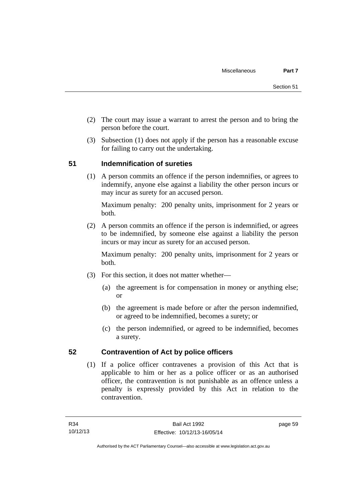- (2) The court may issue a warrant to arrest the person and to bring the person before the court.
- (3) Subsection (1) does not apply if the person has a reasonable excuse for failing to carry out the undertaking.

## **51 Indemnification of sureties**

(1) A person commits an offence if the person indemnifies, or agrees to indemnify, anyone else against a liability the other person incurs or may incur as surety for an accused person.

Maximum penalty: 200 penalty units, imprisonment for 2 years or both.

 (2) A person commits an offence if the person is indemnified, or agrees to be indemnified, by someone else against a liability the person incurs or may incur as surety for an accused person.

Maximum penalty: 200 penalty units, imprisonment for 2 years or both.

- (3) For this section, it does not matter whether—
	- (a) the agreement is for compensation in money or anything else; or
	- (b) the agreement is made before or after the person indemnified, or agreed to be indemnified, becomes a surety; or
	- (c) the person indemnified, or agreed to be indemnified, becomes a surety.

## **52 Contravention of Act by police officers**

(1) If a police officer contravenes a provision of this Act that is applicable to him or her as a police officer or as an authorised officer, the contravention is not punishable as an offence unless a penalty is expressly provided by this Act in relation to the contravention.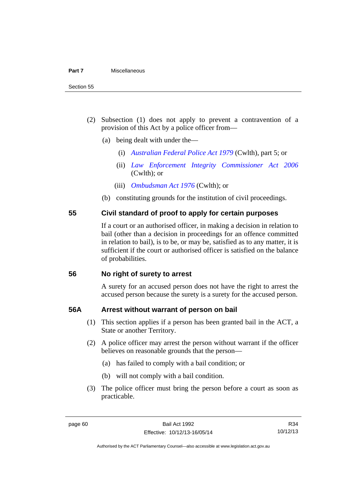- (2) Subsection (1) does not apply to prevent a contravention of a provision of this Act by a police officer from—
	- (a) being dealt with under the—
		- (i) *[Australian Federal Police Act 1979](http://www.comlaw.gov.au/Series/C2004A02068)* (Cwlth), part 5; or
		- (ii) *[Law Enforcement Integrity Commissioner Act 2006](http://www.comlaw.gov.au/Series/C2006A00085)* (Cwlth); or
		- (iii) *[Ombudsman Act 1976](http://www.comlaw.gov.au/Series/C2004A01611)* (Cwlth); or
	- (b) constituting grounds for the institution of civil proceedings.

### **55 Civil standard of proof to apply for certain purposes**

If a court or an authorised officer, in making a decision in relation to bail (other than a decision in proceedings for an offence committed in relation to bail), is to be, or may be, satisfied as to any matter, it is sufficient if the court or authorised officer is satisfied on the balance of probabilities.

#### **56 No right of surety to arrest**

A surety for an accused person does not have the right to arrest the accused person because the surety is a surety for the accused person.

#### **56A Arrest without warrant of person on bail**

- (1) This section applies if a person has been granted bail in the ACT, a State or another Territory.
- (2) A police officer may arrest the person without warrant if the officer believes on reasonable grounds that the person—
	- (a) has failed to comply with a bail condition; or
	- (b) will not comply with a bail condition.
- (3) The police officer must bring the person before a court as soon as practicable.

R34 10/12/13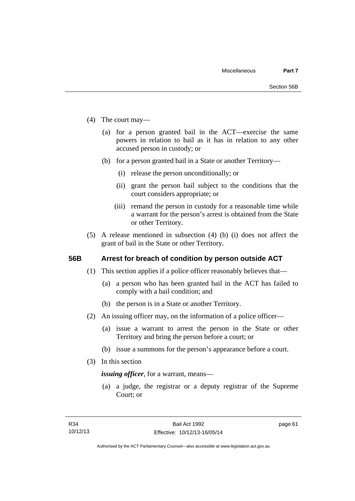- (4) The court may—
	- (a) for a person granted bail in the ACT—exercise the same powers in relation to bail as it has in relation to any other accused person in custody; or
	- (b) for a person granted bail in a State or another Territory—
		- (i) release the person unconditionally; or
		- (ii) grant the person bail subject to the conditions that the court considers appropriate; or
		- (iii) remand the person in custody for a reasonable time while a warrant for the person's arrest is obtained from the State or other Territory.
- (5) A release mentioned in subsection (4) (b) (i) does not affect the grant of bail in the State or other Territory.

#### **56B Arrest for breach of condition by person outside ACT**

- (1) This section applies if a police officer reasonably believes that—
	- (a) a person who has been granted bail in the ACT has failed to comply with a bail condition; and
	- (b) the person is in a State or another Territory.
- (2) An issuing officer may, on the information of a police officer—
	- (a) issue a warrant to arrest the person in the State or other Territory and bring the person before a court; or
	- (b) issue a summons for the person's appearance before a court.
- (3) In this section

*issuing officer*, for a warrant, means—

 (a) a judge, the registrar or a deputy registrar of the Supreme Court; or

page 61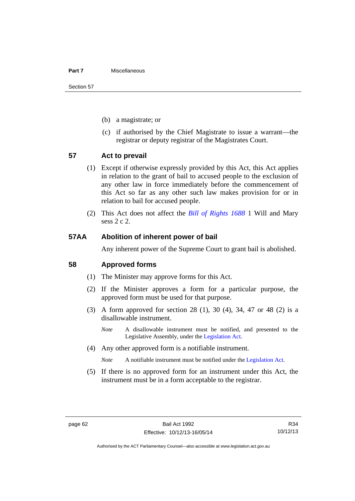#### **Part 7** Miscellaneous

Section 57

- (b) a magistrate; or
- (c) if authorised by the Chief Magistrate to issue a warrant—the registrar or deputy registrar of the Magistrates Court.

#### **57 Act to prevail**

- (1) Except if otherwise expressly provided by this Act, this Act applies in relation to the grant of bail to accused people to the exclusion of any other law in force immediately before the commencement of this Act so far as any other such law makes provision for or in relation to bail for accused people.
- (2) This Act does not affect the *[Bill of Rights 1688](http://www.legislation.act.gov.au/a/db_1792/default.asp)* 1 Will and Mary sess 2 c 2.

#### **57AA Abolition of inherent power of bail**

Any inherent power of the Supreme Court to grant bail is abolished.

#### **58 Approved forms**

- (1) The Minister may approve forms for this Act.
- (2) If the Minister approves a form for a particular purpose, the approved form must be used for that purpose.
- (3) A form approved for section 28 (1), 30 (4), 34, 47 or 48 (2) is a disallowable instrument.
	- *Note* A disallowable instrument must be notified, and presented to the Legislative Assembly, under the [Legislation Act.](http://www.legislation.act.gov.au/a/2001-14)
- (4) Any other approved form is a notifiable instrument.

*Note* A notifiable instrument must be notified under the [Legislation Act](http://www.legislation.act.gov.au/a/2001-14).

 (5) If there is no approved form for an instrument under this Act, the instrument must be in a form acceptable to the registrar.

R34 10/12/13

Authorised by the ACT Parliamentary Counsel—also accessible at www.legislation.act.gov.au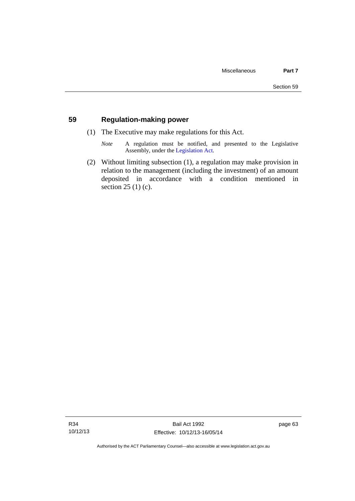## **59 Regulation-making power**

- (1) The Executive may make regulations for this Act.
	- *Note* A regulation must be notified, and presented to the Legislative Assembly, under the [Legislation Act](http://www.legislation.act.gov.au/a/2001-14).
- (2) Without limiting subsection (1), a regulation may make provision in relation to the management (including the investment) of an amount deposited in accordance with a condition mentioned in section 25 (1) (c).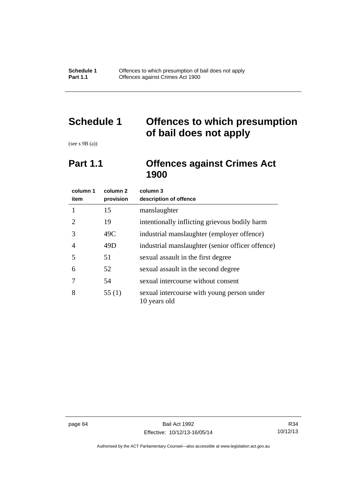# **Schedule 1 Offences to which presumption of bail does not apply**

(see s 9B (a))

# **Part 1.1 Offences against Crimes Act 1900**

| column 1<br>item      | column <sub>2</sub><br>provision | column 3<br>description of offence                         |
|-----------------------|----------------------------------|------------------------------------------------------------|
|                       | 15                               | manslaughter                                               |
| $\mathcal{D}_{\cdot}$ | 19                               | intentionally inflicting grievous bodily harm              |
| 3                     | 49C                              | industrial manslaughter (employer offence)                 |
| 4                     | 49D                              | industrial manslaughter (senior officer offence)           |
| 5                     | 51                               | sexual assault in the first degree                         |
| 6                     | 52                               | sexual assault in the second degree                        |
|                       | 54                               | sexual intercourse without consent                         |
| 8                     | 55(1)                            | sexual intercourse with young person under<br>10 years old |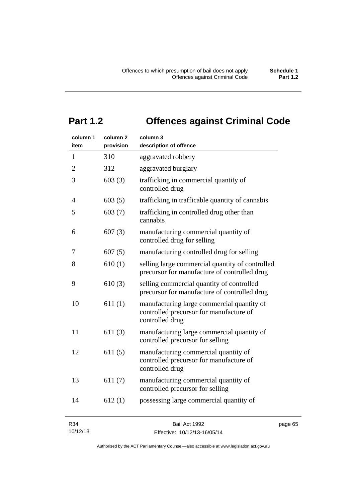# **Part 1.2 Offences against Criminal Code**

| column 1<br>item | column <sub>2</sub><br>provision | column 3<br>description of offence                                                                       |  |
|------------------|----------------------------------|----------------------------------------------------------------------------------------------------------|--|
| $\mathbf{1}$     | 310                              | aggravated robbery                                                                                       |  |
| $\overline{2}$   | 312                              | aggravated burglary                                                                                      |  |
| 3                | 603(3)                           | trafficking in commercial quantity of<br>controlled drug                                                 |  |
| 4                | 603(5)                           | trafficking in trafficable quantity of cannabis                                                          |  |
| 5                | 603(7)                           | trafficking in controlled drug other than<br>cannabis                                                    |  |
| 6                | 607(3)                           | manufacturing commercial quantity of<br>controlled drug for selling                                      |  |
| 7                | 607(5)                           | manufacturing controlled drug for selling                                                                |  |
| 8                | 610(1)                           | selling large commercial quantity of controlled<br>precursor for manufacture of controlled drug          |  |
| 9                | 610(3)                           | selling commercial quantity of controlled<br>precursor for manufacture of controlled drug                |  |
| 10               | 611(1)                           | manufacturing large commercial quantity of<br>controlled precursor for manufacture of<br>controlled drug |  |
| 11               | 611(3)                           | manufacturing large commercial quantity of<br>controlled precursor for selling                           |  |
| 12               | 611(5)                           | manufacturing commercial quantity of<br>controlled precursor for manufacture of<br>controlled drug       |  |
| 13               | 611(7)                           | manufacturing commercial quantity of<br>controlled precursor for selling                                 |  |
| 14               | 612(1)                           | possessing large commercial quantity of                                                                  |  |
| D2A              |                                  | $P \circ I \wedge \circ I \wedge \circ \circ$                                                            |  |

| דיטו     |  |
|----------|--|
| 10/12/13 |  |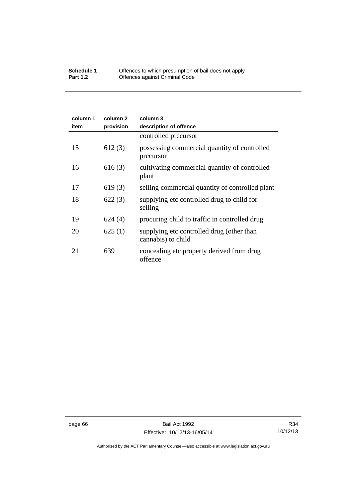#### **Schedule 1** Offences to which presumption of bail does not apply **Part 1.2 C** Offences against Criminal Code

| column 1<br>item | column 2<br>provision | column 3<br>description of offence                              |
|------------------|-----------------------|-----------------------------------------------------------------|
|                  |                       | controlled precursor                                            |
| 15               | 612(3)                | possessing commercial quantity of controlled<br>precursor       |
| 16               | 616(3)                | cultivating commercial quantity of controlled<br>plant          |
| 17               | 619(3)                | selling commercial quantity of controlled plant                 |
| 18               | 622(3)                | supplying etc controlled drug to child for<br>selling           |
| 19               | 624(4)                | procuring child to traffic in controlled drug                   |
| 20               | 625(1)                | supplying etc controlled drug (other than<br>cannabis) to child |
| 21               | 639                   | concealing etc property derived from drug<br>offence            |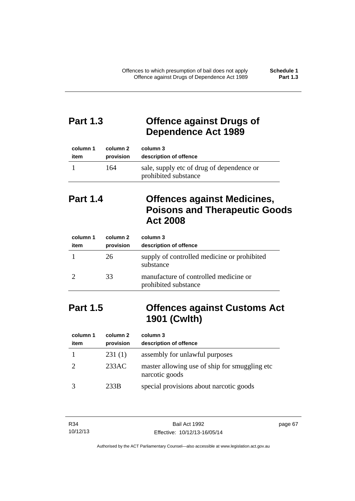## **Part 1.3 Offence against Drugs of Dependence Act 1989**

| column 1 | column 2  | column 3                                                          |
|----------|-----------|-------------------------------------------------------------------|
| item     | provision | description of offence                                            |
|          | 164       | sale, supply etc of drug of dependence or<br>prohibited substance |

# **Part 1.4 Offences against Medicines, Poisons and Therapeutic Goods Act 2008**

| column 1<br>item | column 2<br>provision | column 3<br>description of offence                            |
|------------------|-----------------------|---------------------------------------------------------------|
|                  | 26                    | supply of controlled medicine or prohibited<br>substance      |
|                  | 33                    | manufacture of controlled medicine or<br>prohibited substance |

# **Part 1.5 Offences against Customs Act 1901 (Cwlth)**

| column 1<br>item | column 2<br>provision | column 3<br>description of offence                               |
|------------------|-----------------------|------------------------------------------------------------------|
|                  | 231(1)                | assembly for unlawful purposes                                   |
|                  | 233AC                 | master allowing use of ship for smuggling etc.<br>narcotic goods |
|                  | 233B                  | special provisions about narcotic goods                          |

| R34      | Bail Act 1992                | page 67 |
|----------|------------------------------|---------|
| 10/12/13 | Effective: 10/12/13-16/05/14 |         |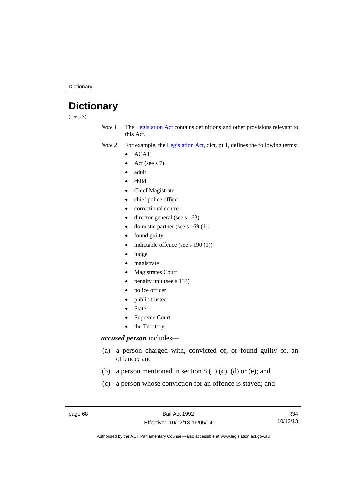**Dictionary** 

# **Dictionary**

(see s 3)

*Note 1* The [Legislation Act](http://www.legislation.act.gov.au/a/2001-14) contains definitions and other provisions relevant to this Act.

*Note 2* For example, the [Legislation Act,](http://www.legislation.act.gov.au/a/2001-14) dict, pt 1, defines the following terms:

- $\bullet$  ACAT
- Act (see s 7)
- adult
- child
- Chief Magistrate
- chief police officer
- correctional centre
- director-general (see s 163)
- domestic partner (see s 169 (1))
- found guilty
- indictable offence (see s 190 (1))
- judge
- magistrate
- Magistrates Court
- penalty unit (see s 133)
- police officer
- public trustee
- State
- Supreme Court
- the Territory.

## *accused person* includes—

- (a) a person charged with, convicted of, or found guilty of, an offence; and
- (b) a person mentioned in section  $8(1)$  (c), (d) or (e); and
- (c) a person whose conviction for an offence is stayed; and

R34 10/12/13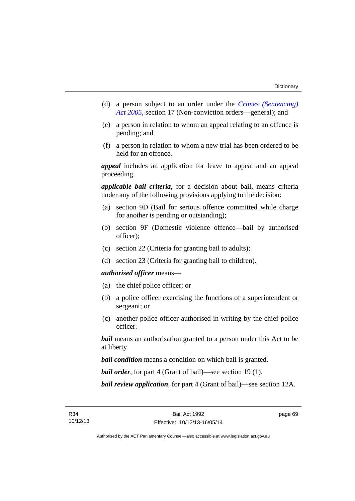- (d) a person subject to an order under the *[Crimes \(Sentencing\)](http://www.legislation.act.gov.au/a/2005-58)  [Act 2005](http://www.legislation.act.gov.au/a/2005-58)*, section 17 (Non-conviction orders—general); and
- (e) a person in relation to whom an appeal relating to an offence is pending; and
- (f) a person in relation to whom a new trial has been ordered to be held for an offence.

*appeal* includes an application for leave to appeal and an appeal proceeding.

*applicable bail criteria*, for a decision about bail, means criteria under any of the following provisions applying to the decision:

- (a) section 9D (Bail for serious offence committed while charge for another is pending or outstanding);
- (b) section 9F (Domestic violence offence—bail by authorised officer);
- (c) section 22 (Criteria for granting bail to adults);
- (d) section 23 (Criteria for granting bail to children).

## *authorised officer* means—

- (a) the chief police officer; or
- (b) a police officer exercising the functions of a superintendent or sergeant; or
- (c) another police officer authorised in writing by the chief police officer.

*bail* means an authorisation granted to a person under this Act to be at liberty.

*bail condition* means a condition on which bail is granted.

*bail order*, for part 4 (Grant of bail)—see section 19 (1).

*bail review application*, for part 4 (Grant of bail)—see section 12A.

page 69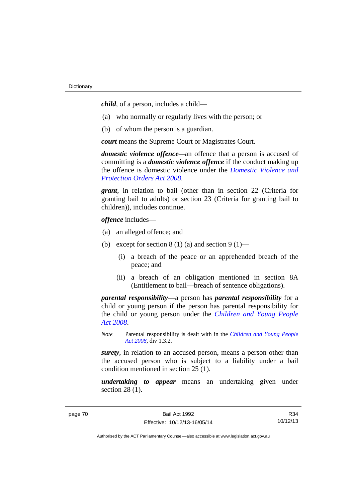*child*, of a person, includes a child—

- (a) who normally or regularly lives with the person; or
- (b) of whom the person is a guardian.

*court* means the Supreme Court or Magistrates Court.

*domestic violence offence—*an offence that a person is accused of committing is a *domestic violence offence* if the conduct making up the offence is domestic violence under the *[Domestic Violence and](http://www.legislation.act.gov.au/a/2008-46)  [Protection Orders Act 2008](http://www.legislation.act.gov.au/a/2008-46)*.

*grant*, in relation to bail (other than in section 22 (Criteria for granting bail to adults) or section 23 (Criteria for granting bail to children)), includes continue.

*offence* includes—

- (a) an alleged offence; and
- (b) except for section  $8(1)(a)$  and section  $9(1)$ 
	- (i) a breach of the peace or an apprehended breach of the peace; and
	- (ii) a breach of an obligation mentioned in section 8A (Entitlement to bail—breach of sentence obligations).

*parental responsibility*—a person has *parental responsibility* for a child or young person if the person has parental responsibility for the child or young person under the *[Children and Young People](http://www.legislation.act.gov.au/a/2008-19)  [Act 2008](http://www.legislation.act.gov.au/a/2008-19)*.

*Note* Parental responsibility is dealt with in the *[Children and Young People](http://www.legislation.act.gov.au/a/2008-19)  [Act 2008](http://www.legislation.act.gov.au/a/2008-19)*, div 1.3.2.

*surety*, in relation to an accused person, means a person other than the accused person who is subject to a liability under a bail condition mentioned in section 25 (1).

*undertaking to appear* means an undertaking given under section 28 (1).

R34 10/12/13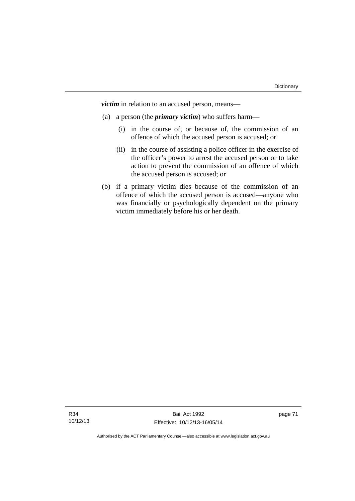*victim* in relation to an accused person, means—

- (a) a person (the *primary victim*) who suffers harm—
	- (i) in the course of, or because of, the commission of an offence of which the accused person is accused; or
	- (ii) in the course of assisting a police officer in the exercise of the officer's power to arrest the accused person or to take action to prevent the commission of an offence of which the accused person is accused; or
- (b) if a primary victim dies because of the commission of an offence of which the accused person is accused—anyone who was financially or psychologically dependent on the primary victim immediately before his or her death.

R34 10/12/13

Bail Act 1992 Effective: 10/12/13-16/05/14 page 71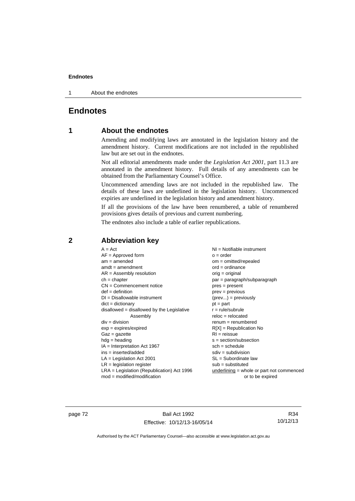1 About the endnotes

## **Endnotes**

## **1 About the endnotes**

Amending and modifying laws are annotated in the legislation history and the amendment history. Current modifications are not included in the republished law but are set out in the endnotes.

Not all editorial amendments made under the *Legislation Act 2001*, part 11.3 are annotated in the amendment history. Full details of any amendments can be obtained from the Parliamentary Counsel's Office.

Uncommenced amending laws are not included in the republished law. The details of these laws are underlined in the legislation history. Uncommenced expiries are underlined in the legislation history and amendment history.

If all the provisions of the law have been renumbered, a table of renumbered provisions gives details of previous and current numbering.

The endnotes also include a table of earlier republications.

| $A = Act$                                    | NI = Notifiable instrument                  |
|----------------------------------------------|---------------------------------------------|
| $AF =$ Approved form                         | $o = order$                                 |
| $am = amended$                               | $om = omitted/repealed$                     |
| $amdt = amendment$                           | $ord = ordinance$                           |
| $AR = Assembly resolution$                   | $orig = original$                           |
| $ch = chapter$                               | $par = paragraph/subparagraph$              |
| $CN =$ Commencement notice                   | $pres = present$                            |
| $def = definition$                           | $prev = previous$                           |
| $DI = Disallowable instrument$               | $(\text{prev}) = \text{previously}$         |
| $dict = dictionary$                          | $pt = part$                                 |
| $disallowed = disallowed by the Legislative$ | $r = rule/subrule$                          |
| Assembly                                     | $reloc = relocated$                         |
| $div = division$                             | $renum = renumbered$                        |
| $exp = expires/expired$                      | $R[X]$ = Republication No                   |
| $Gaz = gazette$                              | $RI = reissue$                              |
| $hdg = heading$                              | $s = section/subsection$                    |
| $IA = Interpretation Act 1967$               | $sch = schedule$                            |
| ins = inserted/added                         | $sdiv = subdivision$                        |
| $LA =$ Legislation Act 2001                  | $SL = Subordinate$ law                      |
| $LR =$ legislation register                  | $sub =$ substituted                         |
| LRA = Legislation (Republication) Act 1996   | underlining $=$ whole or part not commenced |
| $mod = modified/modification$                | or to be expired                            |

## **2 Abbreviation key**

page 72 Bail Act 1992 Effective: 10/12/13-16/05/14

R34 10/12/13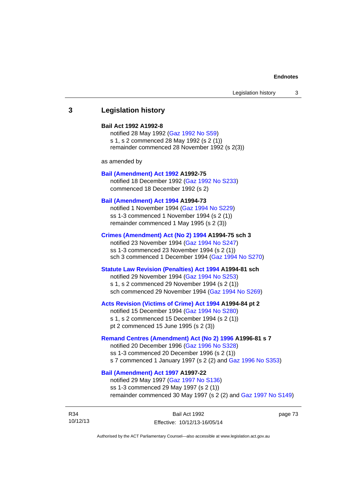## **3 Legislation history**

#### **Bail Act 1992 A1992-8**

notified 28 May 1992 ([Gaz 1992 No S59](http://www.legislation.act.gov.au/gaz/1992-S59/default.asp)) s 1, s 2 commenced 28 May 1992 (s 2 (1)) remainder commenced 28 November 1992 (s 2(3))

as amended by

#### **[Bail \(Amendment\) Act 1992](http://www.legislation.act.gov.au/a/1992-75) A1992-75**

notified 18 December 1992 [\(Gaz 1992 No S233](http://www.legislation.act.gov.au/gaz/1992-S233/default.asp)) commenced 18 December 1992 (s 2)

#### **[Bail \(Amendment\) Act 1994](http://www.legislation.act.gov.au/a/1994-73) A1994-73**

notified 1 November 1994 ([Gaz 1994 No S229\)](http://www.legislation.act.gov.au/gaz/1994-S229/default.asp) ss 1-3 commenced 1 November 1994 (s 2 (1)) remainder commenced 1 May 1995 (s 2 (3))

#### **[Crimes \(Amendment\) Act \(No 2\) 1994](http://www.legislation.act.gov.au/a/1994-75) A1994-75 sch 3**

notified 23 November 1994 [\(Gaz 1994 No S247](http://www.legislation.act.gov.au/gaz/1994-S247/default.asp)) ss 1-3 commenced 23 November 1994 (s 2 (1)) sch 3 commenced 1 December 1994 ([Gaz 1994 No S270\)](http://www.legislation.act.gov.au/gaz/1994-S270/default.asp)

## **[Statute Law Revision \(Penalties\) Act 1994](http://www.legislation.act.gov.au/a/1994-81) A1994-81 sch**

notified 29 November 1994 [\(Gaz 1994 No S253](http://www.legislation.act.gov.au/gaz/1994-S253/default.asp)) s 1, s 2 commenced 29 November 1994 (s 2 (1)) sch commenced 29 November 1994 ([Gaz 1994 No S269\)](http://www.legislation.act.gov.au/gaz/1994-S269/default.asp)

#### **[Acts Revision \(Victims of Crime\) Act 1994](http://www.legislation.act.gov.au/a/1994-84) A1994-84 pt 2**

notified 15 December 1994 [\(Gaz 1994 No S280](http://www.legislation.act.gov.au/gaz/1994-S280/default.asp)) s 1, s 2 commenced 15 December 1994 (s 2 (1)) pt 2 commenced 15 June 1995 (s 2 (3))

#### **[Remand Centres \(Amendment\) Act \(No 2\) 1996](http://www.legislation.act.gov.au/a/1996-81) A1996-81 s 7**

notified 20 December 1996 [\(Gaz 1996 No S328](http://www.legislation.act.gov.au/gaz/1996-S328/default.asp)) ss 1-3 commenced 20 December 1996 (s 2 (1)) s 7 commenced 1 January 1997 (s 2 (2) and [Gaz 1996 No S353](http://www.legislation.act.gov.au/gaz/1996-S353/default.asp))

## **[Bail \(Amendment\) Act 1997](http://www.legislation.act.gov.au/a/1997-22) A1997-22**

notified 29 May 1997 ([Gaz 1997 No S136](http://www.legislation.act.gov.au/gaz/1997-S136/default.asp)) ss 1-3 commenced 29 May 1997 (s 2 (1)) remainder commenced 30 May 1997 (s 2 (2) and [Gaz 1997 No S149\)](http://www.legislation.act.gov.au/gaz/1997-S149/default.asp)

R34 10/12/13 page 73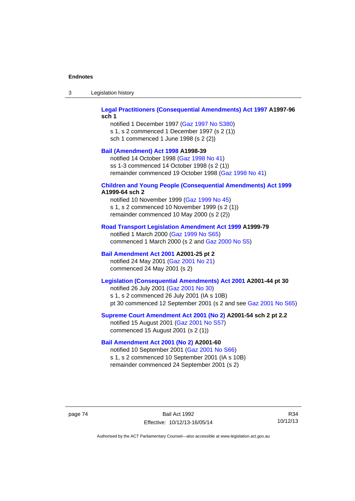| -3 | Legislation history |  |
|----|---------------------|--|
|----|---------------------|--|

## **[Legal Practitioners \(Consequential Amendments\) Act 1997](http://www.legislation.act.gov.au/a/1997-96) A1997-96 sch 1**

notified 1 December 1997 ([Gaz 1997 No S380\)](http://www.legislation.act.gov.au/gaz/1997-S380/default.asp) s 1, s 2 commenced 1 December 1997 (s 2 (1)) sch 1 commenced 1 June 1998 (s 2 (2))

#### **[Bail \(Amendment\) Act 1998](http://www.legislation.act.gov.au/a/1998-39) A1998-39**

notified 14 October 1998 ([Gaz 1998 No 41](http://www.legislation.act.gov.au/gaz/1998-41/default.asp)) ss 1-3 commenced 14 October 1998 (s 2 (1)) remainder commenced 19 October 1998 ([Gaz 1998 No 41\)](http://www.legislation.act.gov.au/gaz/1998-41/default.asp)

#### **[Children and Young People \(Consequential Amendments\) Act 1999](http://www.legislation.act.gov.au/a/1999-64) A1999-64 sch 2**

notified 10 November 1999 [\(Gaz 1999 No 45](http://www.legislation.act.gov.au/gaz/1999-45/default.asp)) s 1, s 2 commenced 10 November 1999 (s 2 (1)) remainder commenced 10 May 2000 (s 2 (2))

#### **[Road Transport Legislation Amendment Act 1999](http://www.legislation.act.gov.au/a/1999-79) A1999-79**

notified 1 March 2000 [\(Gaz 1999 No S65\)](http://www.legislation.act.gov.au/gaz/1999-S65/default.asp) commenced 1 March 2000 (s 2 and [Gaz 2000 No S5](http://www.legislation.act.gov.au/gaz/2000-S5/default.asp))

## **[Bail Amendment Act 2001](http://www.legislation.act.gov.au/a/2001-25) A2001-25 pt 2**

notified 24 May 2001 ([Gaz 2001 No 21\)](http://www.legislation.act.gov.au/gaz/2001-21/default.asp) commenced 24 May 2001 (s 2)

## **[Legislation \(Consequential Amendments\) Act 2001](http://www.legislation.act.gov.au/a/2001-44) A2001-44 pt 30**

notified 26 July 2001 ([Gaz 2001 No 30\)](http://www.legislation.act.gov.au/gaz/2001-30/default.asp) s 1, s 2 commenced 26 July 2001 (IA s 10B) pt 30 commenced 12 September 2001 (s 2 and see [Gaz 2001 No S65](http://www.legislation.act.gov.au/gaz/2001-S65/default.asp))

#### **[Supreme Court Amendment Act 2001 \(No 2\)](http://www.legislation.act.gov.au/a/2001-54) A2001-54 sch 2 pt 2.2**

notified 15 August 2001 [\(Gaz 2001 No S57\)](http://www.legislation.act.gov.au/gaz/2001-S57/default.asp) commenced 15 August 2001 (s 2 (1))

#### **[Bail Amendment Act 2001 \(No 2\)](http://www.legislation.act.gov.au/a/2001-60) A2001-60**

notified 10 September 2001 [\(Gaz 2001 No S66\)](http://www.legislation.act.gov.au/gaz/2001-S66/default.asp) s 1, s 2 commenced 10 September 2001 (IA s 10B) remainder commenced 24 September 2001 (s 2)

page 74 Bail Act 1992 Effective: 10/12/13-16/05/14

R34 10/12/13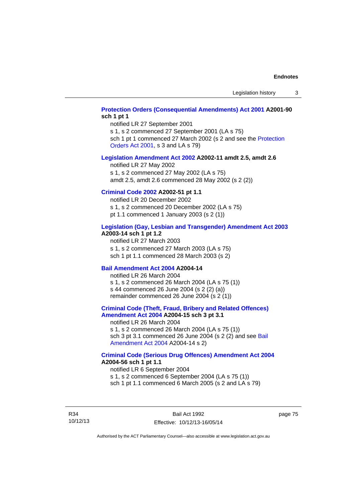## **[Protection Orders \(Consequential Amendments\) Act 2001](http://www.legislation.act.gov.au/a/2001-90) A2001-90 sch 1 pt 1**

notified LR 27 September 2001

s 1, s 2 commenced 27 September 2001 (LA s 75)

sch 1 pt 1 commenced 27 March 2002 (s 2 and see the [Protection](http://www.legislation.act.gov.au/a/2001-89)  [Orders Act 2001,](http://www.legislation.act.gov.au/a/2001-89) s 3 and LA s 79)

#### **[Legislation Amendment Act 2002](http://www.legislation.act.gov.au/a/2002-11) A2002-11 amdt 2.5, amdt 2.6**

notified LR 27 May 2002 s 1, s 2 commenced 27 May 2002 (LA s 75) amdt 2.5, amdt 2.6 commenced 28 May 2002 (s 2 (2))

## **[Criminal Code 2002](http://www.legislation.act.gov.au/a/2002-51) A2002-51 pt 1.1**

notified LR 20 December 2002 s 1, s 2 commenced 20 December 2002 (LA s 75) pt 1.1 commenced 1 January 2003 (s 2 (1))

#### **[Legislation \(Gay, Lesbian and Transgender\) Amendment Act 2003](http://www.legislation.act.gov.au/a/2003-14) A2003-14 sch 1 pt 1.2**

notified LR 27 March 2003 s 1, s 2 commenced 27 March 2003 (LA s 75) sch 1 pt 1.1 commenced 28 March 2003 (s 2)

#### **[Bail Amendment Act 2004](http://www.legislation.act.gov.au/a/2004-14) A2004-14**

notified LR 26 March 2004 s 1, s 2 commenced 26 March 2004 (LA s 75 (1)) s 44 commenced 26 June 2004 (s 2 (2) (a)) remainder commenced 26 June 2004 (s 2 (1))

## **[Criminal Code \(Theft, Fraud, Bribery and Related Offences\)](http://www.legislation.act.gov.au/a/2004-15)  [Amendment Act 2004](http://www.legislation.act.gov.au/a/2004-15) A2004-15 sch 3 pt 3.1**

notified LR 26 March 2004 s 1, s 2 commenced 26 March 2004 (LA s 75 (1)) sch 3 pt 3.1 commenced 26 June 2004 (s 2 (2) and see Bail [Amendment Act 2004](http://www.legislation.act.gov.au/a/2004-14) A2004-14 s 2)

#### **[Criminal Code \(Serious Drug Offences\) Amendment Act 2004](http://www.legislation.act.gov.au/a/2004-56) A2004-56 sch 1 pt 1.1**

notified LR 6 September 2004 s 1, s 2 commenced 6 September 2004 (LA s 75 (1)) sch 1 pt 1.1 commenced 6 March 2005 (s 2 and LA s 79)

R34 10/12/13

Bail Act 1992 Effective: 10/12/13-16/05/14 page 75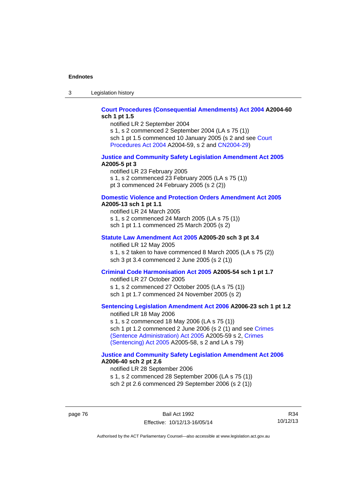3 Legislation history

## **[Court Procedures \(Consequential Amendments\) Act 2004](http://www.legislation.act.gov.au/a/2004-60) A2004-60 sch 1 pt 1.5**

notified LR 2 September 2004 s 1, s 2 commenced 2 September 2004 (LA s 75 (1))

sch 1 pt 1.5 commenced 10 January 2005 (s 2 and see [Court](http://www.legislation.act.gov.au/a/2004-59)  [Procedures Act 2004](http://www.legislation.act.gov.au/a/2004-59) A2004-59, s 2 and [CN2004-29\)](http://www.legislation.act.gov.au/cn/2004-29/default.asp)

#### **[Justice and Community Safety Legislation Amendment Act 2005](http://www.legislation.act.gov.au/a/2005-5) A2005-5 pt 3**

notified LR 23 February 2005 s 1, s 2 commenced 23 February 2005 (LA s 75 (1)) pt 3 commenced 24 February 2005 (s 2 (2))

#### **[Domestic Violence and Protection Orders Amendment Act 2005](http://www.legislation.act.gov.au/a/2005-13) A2005-13 sch 1 pt 1.1**

notified LR 24 March 2005 s 1, s 2 commenced 24 March 2005 (LA s 75 (1)) sch 1 pt 1.1 commenced 25 March 2005 (s 2)

#### **[Statute Law Amendment Act 2005](http://www.legislation.act.gov.au/a/2005-20) A2005-20 sch 3 pt 3.4**

notified LR 12 May 2005 s 1, s 2 taken to have commenced 8 March 2005 (LA s 75 (2)) sch 3 pt 3.4 commenced 2 June 2005 (s 2 (1))

## **[Criminal Code Harmonisation Act 2005](http://www.legislation.act.gov.au/a/2005-54) A2005-54 sch 1 pt 1.7**

notified LR 27 October 2005 s 1, s 2 commenced 27 October 2005 (LA s 75 (1)) sch 1 pt 1.7 commenced 24 November 2005 (s 2)

## **[Sentencing Legislation Amendment Act 2006](http://www.legislation.act.gov.au/a/2006-23) A2006-23 sch 1 pt 1.2**

notified LR 18 May 2006 s 1, s 2 commenced 18 May 2006 (LA s 75 (1)) sch 1 pt 1.2 commenced 2 June 2006 (s 2 (1) and see [Crimes](http://www.legislation.act.gov.au/a/2005-59)  [\(Sentence Administration\) Act 2005](http://www.legislation.act.gov.au/a/2005-59) A2005-59 s 2, [Crimes](http://www.legislation.act.gov.au/a/2005-58)  [\(Sentencing\) Act 2005](http://www.legislation.act.gov.au/a/2005-58) A2005-58, s 2 and LA s 79)

#### **[Justice and Community Safety Legislation Amendment Act 2006](http://www.legislation.act.gov.au/a/2006-40) A2006-40 sch 2 pt 2.6**

notified LR 28 September 2006 s 1, s 2 commenced 28 September 2006 (LA s 75 (1)) sch 2 pt 2.6 commenced 29 September 2006 (s 2 (1))

R34 10/12/13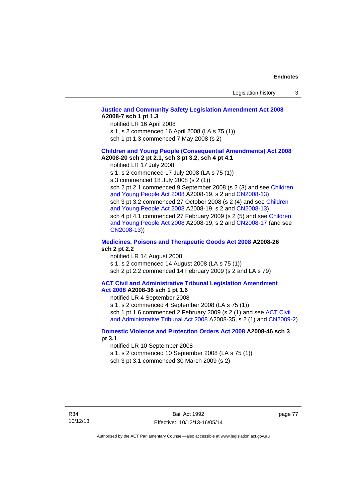#### **[Justice and Community Safety Legislation Amendment Act 2008](http://www.legislation.act.gov.au/a/2008-7) A2008-7 sch 1 pt 1.3**  notified LR 16 April 2008

s 1, s 2 commenced 16 April 2008 (LA s 75 (1))

sch 1 pt 1.3 commenced 7 May 2008 (s 2)

#### **[Children and Young People \(Consequential Amendments\) Act 2008](http://www.legislation.act.gov.au/a/2008-20) A2008-20 sch 2 pt 2.1, sch 3 pt 3.2, sch 4 pt 4.1**

notified LR 17 July 2008

s 1, s 2 commenced 17 July 2008 (LA s 75 (1))

s 3 commenced 18 July 2008 (s 2 (1))

sch 2 pt 2.1 commenced 9 September 2008 (s 2 (3) and see [Children](http://www.legislation.act.gov.au/a/2008-19)  [and Young People Act 2008](http://www.legislation.act.gov.au/a/2008-19) A2008-19, s 2 and [CN2008-13](http://www.legislation.act.gov.au/cn/2008-13/default.asp)) sch 3 pt 3.2 commenced 27 October 2008 (s 2 (4) and see [Children](http://www.legislation.act.gov.au/a/2008-19)  [and Young People Act 2008](http://www.legislation.act.gov.au/a/2008-19) A2008-19, s 2 and [CN2008-13](http://www.legislation.act.gov.au/cn/2008-13/default.asp)) sch 4 pt 4.1 commenced 27 February 2009 (s 2 (5) and see [Children](http://www.legislation.act.gov.au/a/2008-19)  [and Young People Act 2008](http://www.legislation.act.gov.au/a/2008-19) A2008-19, s 2 and [CN2008-17 \(](http://www.legislation.act.gov.au/cn/2008-17/default.asp)and see [CN2008-13](http://www.legislation.act.gov.au/cn/2008-13/default.asp)))

#### **[Medicines, Poisons and Therapeutic Goods Act 2008](http://www.legislation.act.gov.au/a/2008-26) A2008-26 sch 2 pt 2.2**

notified LR 14 August 2008 s 1, s 2 commenced 14 August 2008 (LA s 75 (1)) sch 2 pt 2.2 commenced 14 February 2009 (s 2 and LA s 79)

#### **[ACT Civil and Administrative Tribunal Legislation Amendment](http://www.legislation.act.gov.au/a/2008-36)  [Act 2008](http://www.legislation.act.gov.au/a/2008-36) A2008-36 sch 1 pt 1.6**

notified LR 4 September 2008

s 1, s 2 commenced 4 September 2008 (LA s 75 (1)) sch 1 pt 1.6 commenced 2 February 2009 (s 2 (1) and see [ACT Civil](http://www.legislation.act.gov.au/a/2008-35)  [and Administrative Tribunal Act 2008](http://www.legislation.act.gov.au/a/2008-35) A2008-35, s 2 (1) and [CN2009-2](http://www.legislation.act.gov.au/cn/2009-2/default.asp))

### **[Domestic Violence and Protection Orders Act 2008](http://www.legislation.act.gov.au/a/2008-46) A2008-46 sch 3 pt 3.1**

notified LR 10 September 2008

s 1, s 2 commenced 10 September 2008 (LA s 75 (1))

sch 3 pt 3.1 commenced 30 March 2009 (s 2)

page 77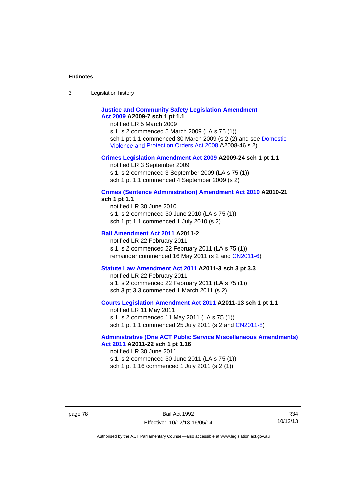3 Legislation history

## **[Justice and Community Safety Legislation Amendment](http://www.legislation.act.gov.au/a/2009-7)  [Act 2009](http://www.legislation.act.gov.au/a/2009-7) A2009-7 sch 1 pt 1.1**

notified LR 5 March 2009

s 1, s 2 commenced 5 March 2009 (LA s 75 (1)) sch 1 pt 1.1 commenced 30 March 2009 (s 2 (2) and see [Domestic](http://www.legislation.act.gov.au/a/2008-46)  [Violence and Protection Orders Act 2008](http://www.legislation.act.gov.au/a/2008-46) A2008-46 s 2)

#### **[Crimes Legislation Amendment Act 2009](http://www.legislation.act.gov.au/a/2009-24) A2009-24 sch 1 pt 1.1**

notified LR 3 September 2009 s 1, s 2 commenced 3 September 2009 (LA s 75 (1)) sch 1 pt 1.1 commenced 4 September 2009 (s 2)

#### **[Crimes \(Sentence Administration\) Amendment Act 2010](http://www.legislation.act.gov.au/a/2010-21) A2010-21 sch 1 pt 1.1**

notified LR 30 June 2010 s 1, s 2 commenced 30 June 2010 (LA s 75 (1)) sch 1 pt 1.1 commenced 1 July 2010 (s 2)

#### **[Bail Amendment Act 2011](http://www.legislation.act.gov.au/a/2011-2) A2011-2**

notified LR 22 February 2011 s 1, s 2 commenced 22 February 2011 (LA s 75 (1)) remainder commenced 16 May 2011 (s 2 and [CN2011-6](http://www.legislation.act.gov.au/cn/2011-6/default.asp))

#### **[Statute Law Amendment Act 2011](http://www.legislation.act.gov.au/a/2011-3) A2011-3 sch 3 pt 3.3**

notified LR 22 February 2011 s 1, s 2 commenced 22 February 2011 (LA s 75 (1)) sch 3 pt 3.3 commenced 1 March 2011 (s 2)

### **[Courts Legislation Amendment Act 2011](http://www.legislation.act.gov.au/a/2011-13) A2011-13 sch 1 pt 1.1**

notified LR 11 May 2011 s 1, s 2 commenced 11 May 2011 (LA s 75 (1)) sch 1 pt 1.1 commenced 25 July 2011 (s 2 and [CN2011-8\)](http://www.legislation.act.gov.au/cn/2011-8/default.asp)

#### **[Administrative \(One ACT Public Service Miscellaneous Amendments\)](http://www.legislation.act.gov.au/a/2011-22)  [Act 2011](http://www.legislation.act.gov.au/a/2011-22) A2011-22 sch 1 pt 1.16**

notified LR 30 June 2011 s 1, s 2 commenced 30 June 2011 (LA s 75 (1)) sch 1 pt 1.16 commenced 1 July 2011 (s 2 (1))

R34 10/12/13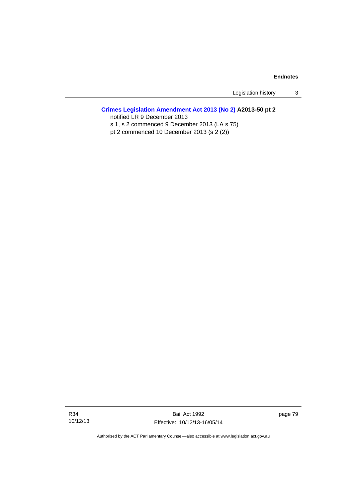Legislation history 3

## **[Crimes Legislation Amendment Act 2013 \(No 2\)](http://www.legislation.act.gov.au/a/2013-50) A2013-50 pt 2**

notified LR 9 December 2013

s 1, s 2 commenced 9 December 2013 (LA s 75)

pt 2 commenced 10 December 2013 (s 2 (2))

Bail Act 1992 Effective: 10/12/13-16/05/14 page 79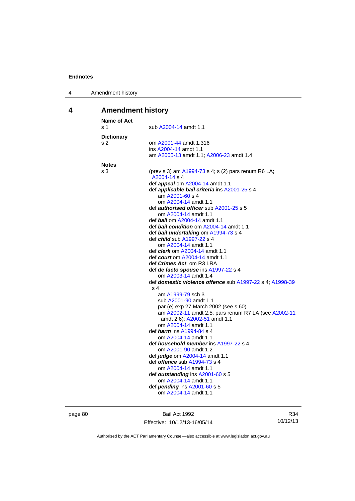| 4 | Amendment history |
|---|-------------------|
|---|-------------------|

# **4 Amendment history**

| <b>Name of Act</b><br>s <sub>1</sub> | sub A2004-14 amdt 1.1                                                                                                                                                                                                                                                                                                                                                                                                                                                                                                                                                                                                                                                                                                                                                                                                                                                                                                                                                                                                                                                                                                                                                                                                                                                                |
|--------------------------------------|--------------------------------------------------------------------------------------------------------------------------------------------------------------------------------------------------------------------------------------------------------------------------------------------------------------------------------------------------------------------------------------------------------------------------------------------------------------------------------------------------------------------------------------------------------------------------------------------------------------------------------------------------------------------------------------------------------------------------------------------------------------------------------------------------------------------------------------------------------------------------------------------------------------------------------------------------------------------------------------------------------------------------------------------------------------------------------------------------------------------------------------------------------------------------------------------------------------------------------------------------------------------------------------|
| <b>Dictionary</b><br>s 2             | om A2001-44 amdt 1.316<br>ins A2004-14 amdt 1.1<br>am A2005-13 amdt 1.1; A2006-23 amdt 1.4                                                                                                                                                                                                                                                                                                                                                                                                                                                                                                                                                                                                                                                                                                                                                                                                                                                                                                                                                                                                                                                                                                                                                                                           |
| <b>Notes</b>                         |                                                                                                                                                                                                                                                                                                                                                                                                                                                                                                                                                                                                                                                                                                                                                                                                                                                                                                                                                                                                                                                                                                                                                                                                                                                                                      |
| s 3                                  | (prev s 3) am A1994-73 s 4; s (2) pars renum R6 LA;<br>A2004-14 s 4<br>def <i>appeal</i> om A2004-14 amdt 1.1<br>def applicable bail criteria ins A2001-25 s 4<br>am A2001-60 s 4<br>om A2004-14 amdt 1.1<br>def authorised officer sub A2001-25 s 5<br>om A2004-14 amdt 1.1<br>def bail om A2004-14 amdt 1.1<br>def bail condition om A2004-14 amdt 1.1<br>def bail undertaking om A1994-73 s 4<br>def <i>child</i> sub A1997-22 s 4<br>om A2004-14 amdt 1.1<br>def <i>clerk</i> om A2004-14 amdt 1.1<br>def <i>court</i> om A2004-14 amdt 1.1<br>def Crimes Act om R3 LRA<br>def de facto spouse ins A1997-22 s 4<br>om A2003-14 amdt 1.4<br>def domestic violence offence sub A1997-22 s 4; A1998-39<br>s 4<br>am A1999-79 sch 3<br>sub A2001-90 amdt 1.1<br>par (e) exp 27 March 2002 (see s 60)<br>am A2002-11 amdt 2.5; pars renum R7 LA (see A2002-11<br>amdt 2.6); A2002-51 amdt 1.1<br>om A2004-14 amdt 1.1<br>def <i>harm</i> ins A1994-84 s 4<br>om A2004-14 amdt 1.1<br>def <i>household member</i> ins A1997-22 s 4<br>om A2001-90 amdt 1.2<br>def <i>judge</i> om A2004-14 amdt 1.1<br>def <b>offence</b> sub A1994-73 s 4<br>om A2004-14 amdt 1.1<br>def outstanding ins A2001-60 s 5<br>om A2004-14 amdt 1.1<br>def pending ins A2001-60 s 5<br>om A2004-14 amdt 1.1 |
|                                      |                                                                                                                                                                                                                                                                                                                                                                                                                                                                                                                                                                                                                                                                                                                                                                                                                                                                                                                                                                                                                                                                                                                                                                                                                                                                                      |

page 80 Bail Act 1992 Effective: 10/12/13-16/05/14

R34 10/12/13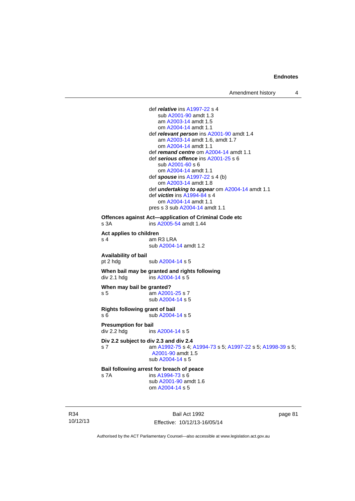def *relative* ins [A1997-22](http://www.legislation.act.gov.au/a/1997-22) s 4 sub [A2001-90](http://www.legislation.act.gov.au/a/2001-90) amdt 1.3 am [A2003-14](http://www.legislation.act.gov.au/a/2003-14) amdt 1.5 om [A2004-14](http://www.legislation.act.gov.au/a/2004-14) amdt 1.1 def *relevant person* ins [A2001-90](http://www.legislation.act.gov.au/a/2001-90) amdt 1.4 am [A2003-14](http://www.legislation.act.gov.au/a/2003-14) amdt 1.6, amdt 1.7 om [A2004-14](http://www.legislation.act.gov.au/a/2004-14) amdt 1.1 def *remand centre* om [A2004-14](http://www.legislation.act.gov.au/a/2004-14) amdt 1.1 def *serious offence* ins [A2001-25](http://www.legislation.act.gov.au/a/2001-25) s 6 sub [A2001-60](http://www.legislation.act.gov.au/a/2001-60) s 6 om [A2004-14](http://www.legislation.act.gov.au/a/2004-14) amdt 1.1 def *spouse* ins [A1997-22](http://www.legislation.act.gov.au/a/1997-22) s 4 (b) om [A2003-14](http://www.legislation.act.gov.au/a/2003-14) amdt 1.8 def *undertaking to appear* om [A2004-14](http://www.legislation.act.gov.au/a/2004-14) amdt 1.1 def *victim* ins [A1994-84](http://www.legislation.act.gov.au/a/1994-84) s 4 om [A2004-14](http://www.legislation.act.gov.au/a/2004-14) amdt 1.1 pres s 3 sub [A2004-14](http://www.legislation.act.gov.au/a/2004-14) amdt 1.1 **Offences against Act—application of Criminal Code etc**  s 3A ins [A2005-54](http://www.legislation.act.gov.au/a/2005-54) amdt 1.44 **Act applies to children**  s 4 am R3 LRA sub [A2004-14](http://www.legislation.act.gov.au/a/2004-14) amdt 1.2 **Availability of bail**  pt 2 hdg sub [A2004-14](http://www.legislation.act.gov.au/a/2004-14) s 5 **When bail may be granted and rights following div 2.1 hdg ins A2004-14 s 5**  $ins$  [A2004-14](http://www.legislation.act.gov.au/a/2004-14) s 5 **When may bail be granted?**  s 5 am [A2001-25](http://www.legislation.act.gov.au/a/2001-25) s 7 sub [A2004-14](http://www.legislation.act.gov.au/a/2004-14) s 5 **Rights following grant of bail**  s 6 sub [A2004-14](http://www.legislation.act.gov.au/a/2004-14) s 5 **Presumption for bail**  div 2.2 hdg ins [A2004-14](http://www.legislation.act.gov.au/a/2004-14) s 5 **Div 2.2 subject to div 2.3 and div 2.4** s 7 am [A1992-75](http://www.legislation.act.gov.au/a/1992-75) s 4; [A1994-73](http://www.legislation.act.gov.au/a/1994-73) s 5; [A1997-22](http://www.legislation.act.gov.au/a/1997-22) s 5; [A1998-39](http://www.legislation.act.gov.au/a/1998-39) s 5; [A2001-90](http://www.legislation.act.gov.au/a/2001-90) amdt 1.5 sub [A2004-14](http://www.legislation.act.gov.au/a/2004-14) s 5 **Bail following arrest for breach of peace** s 7A ins [A1994-73](http://www.legislation.act.gov.au/a/1994-73) s 6 sub [A2001-90](http://www.legislation.act.gov.au/a/2001-90) amdt 1.6 om [A2004-14](http://www.legislation.act.gov.au/a/2004-14) s 5

R34 10/12/13

Bail Act 1992 Effective: 10/12/13-16/05/14 page 81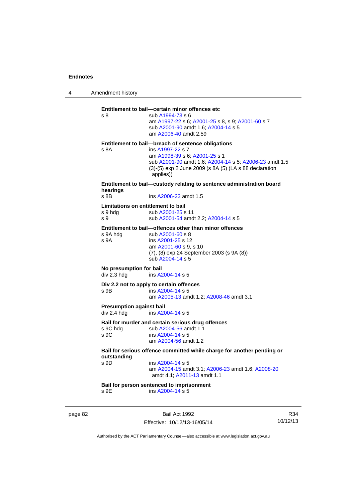4 Amendment history page 82 Bail Act 1992 R34 10/12/13 **Entitlement to bail—certain minor offences etc** s 8 sub [A1994-73](http://www.legislation.act.gov.au/a/1994-73) s 6 am [A1997-22](http://www.legislation.act.gov.au/a/1997-22) s 6; [A2001-25](http://www.legislation.act.gov.au/a/2001-25) s 8, s 9; [A2001-60](http://www.legislation.act.gov.au/a/2001-60) s 7 sub [A2001-90](http://www.legislation.act.gov.au/a/2001-90) amdt 1.6; [A2004-14](http://www.legislation.act.gov.au/a/2004-14) s 5 am [A2006-40](http://www.legislation.act.gov.au/a/2006-40) amdt 2.59 **Entitlement to bail—breach of sentence obligations** s 8A ins [A1997-22](http://www.legislation.act.gov.au/a/1997-22) s 7 am [A1998-39](http://www.legislation.act.gov.au/a/1998-39) s 6; [A2001-25](http://www.legislation.act.gov.au/a/2001-25) s 1 sub [A2001-90](http://www.legislation.act.gov.au/a/2001-90) amdt 1.6; [A2004-14](http://www.legislation.act.gov.au/a/2004-14) s 5; [A2006-23](http://www.legislation.act.gov.au/a/2006-23) amdt 1.5 (3)-(5) exp 2 June 2009 (s 8A (5) (LA s 88 declaration applies)) **Entitlement to bail—custody relating to sentence administration board hearings** s 8B **ins A2006-23** amdt 1.5 **Limitations on entitlement to bail**  s 9 hdg sub [A2001-25](http://www.legislation.act.gov.au/a/2001-25) s 11 s 9 sub [A2001-54](http://www.legislation.act.gov.au/a/2001-54) amdt 2.2; [A2004-14](http://www.legislation.act.gov.au/a/2004-14) s 5 **Entitlement to bail—offences other than minor offences**<br>s 9A hda sub A2001-60 s 8 sub [A2001-60](http://www.legislation.act.gov.au/a/2001-60) s 8 s 9A ins [A2001-25](http://www.legislation.act.gov.au/a/2001-25) s 12 am [A2001-60](http://www.legislation.act.gov.au/a/2001-60) s 9, s 10 (7), (8) exp 24 September 2003 (s 9A (8)) sub [A2004-14](http://www.legislation.act.gov.au/a/2004-14) s 5 **No presumption for bail**  div 2.3 hdg ins [A2004-14](http://www.legislation.act.gov.au/a/2004-14) s 5 **Div 2.2 not to apply to certain offences**  s 9B ins [A2004-14](http://www.legislation.act.gov.au/a/2004-14) s 5 am [A2005-13](http://www.legislation.act.gov.au/a/2005-13) amdt 1.2; [A2008-46](http://www.legislation.act.gov.au/a/2008-46) amdt 3.1 **Presumption against bail**  div 2.4 hdg ins [A2004-14](http://www.legislation.act.gov.au/a/2004-14) s 5 **Bail for murder and certain serious drug offences**  s 9C hdg sub [A2004-56](http://www.legislation.act.gov.au/a/2004-56) amdt 1.1<br>s 9C ins A2004-14 s 5 ins [A2004-14](http://www.legislation.act.gov.au/a/2004-14) s 5 am [A2004-56](http://www.legislation.act.gov.au/a/2004-56) amdt 1.2 **Bail for serious offence committed while charge for another pending or outstanding**  ins [A2004-14](http://www.legislation.act.gov.au/a/2004-14) s 5 am [A2004-15](http://www.legislation.act.gov.au/a/2004-15) amdt 3.1; [A2006-23](http://www.legislation.act.gov.au/a/2006-23) amdt 1.6; [A2008-20](http://www.legislation.act.gov.au/a/2008-20) amdt 4.1; [A2011-13](http://www.legislation.act.gov.au/a/2011-13) amdt 1.1 **Bail for person sentenced to imprisonment**  s 9E ins [A2004-14](http://www.legislation.act.gov.au/a/2004-14) s 5

Authorised by the ACT Parliamentary Counsel—also accessible at www.legislation.act.gov.au

Effective: 10/12/13-16/05/14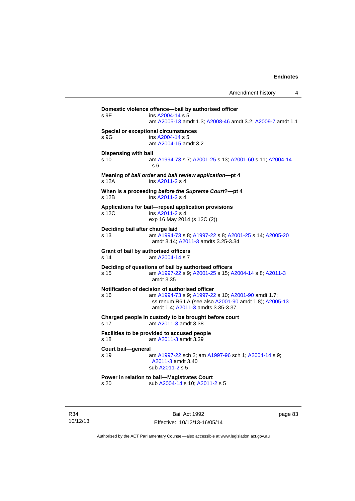**Domestic violence offence—bail by authorised officer**  s 9F ins [A2004-14](http://www.legislation.act.gov.au/a/2004-14) s 5 am [A2005-13](http://www.legislation.act.gov.au/a/2005-13) amdt 1.3; [A2008-46](http://www.legislation.act.gov.au/a/2008-46) amdt 3.2; [A2009-7](http://www.legislation.act.gov.au/a/2009-7) amdt 1.1 **Special or exceptional circumstances**  s 9G ins [A2004-14](http://www.legislation.act.gov.au/a/2004-14) s 5 am [A2004-15](http://www.legislation.act.gov.au/a/2004-15) amdt 3.2 **Dispensing with bail** s 10 am [A1994-73](http://www.legislation.act.gov.au/a/1994-73) s 7; [A2001-25](http://www.legislation.act.gov.au/a/2001-25) s 13; [A2001-60](http://www.legislation.act.gov.au/a/2001-60) s 11; [A2004-14](http://www.legislation.act.gov.au/a/2004-14) s 6 **Meaning of** *bail order* **and** *bail review application***—pt 4**  s 12A ins [A2011-2](http://www.legislation.act.gov.au/a/2011-2) s 4 **When is a proceeding** *before the Supreme Court***?—pt 4**  s 12B ins [A2011-2](http://www.legislation.act.gov.au/a/2011-2) s 4 **Applications for bail—repeat application provisions**  s 12C ins [A2011-2](http://www.legislation.act.gov.au/a/2011-2) s 4 exp 16 May 2014 (s 12C (2)) **Deciding bail after charge laid** s 13 am [A1994-73](http://www.legislation.act.gov.au/a/1994-73) s 8; [A1997-22](http://www.legislation.act.gov.au/a/1997-22) s 8; [A2001-25](http://www.legislation.act.gov.au/a/2001-25) s 14; [A2005-20](http://www.legislation.act.gov.au/a/2005-20) amdt 3.14; [A2011-3](http://www.legislation.act.gov.au/a/2011-3) amdts 3.25-3.34 **Grant of bail by authorised officers**  s 14 am [A2004-14](http://www.legislation.act.gov.au/a/2004-14) s 7 **Deciding of questions of bail by authorised officers** s 15 am [A1997-22](http://www.legislation.act.gov.au/a/1997-22) s 9; [A2001-25](http://www.legislation.act.gov.au/a/2001-25) s 15; [A2004-14](http://www.legislation.act.gov.au/a/2004-14) s 8; [A2011-3](http://www.legislation.act.gov.au/a/2011-3) amdt 3.35 **Notification of decision of authorised officer** s 16 am [A1994-73](http://www.legislation.act.gov.au/a/1994-73) s 9; [A1997-22](http://www.legislation.act.gov.au/a/1997-22) s 10; [A2001-90](http://www.legislation.act.gov.au/a/2001-90) amdt 1.7; ss renum R6 LA (see also [A2001-90](http://www.legislation.act.gov.au/a/2001-90) amdt 1.8); [A2005-13](http://www.legislation.act.gov.au/a/2005-13) amdt 1.4; [A2011-3](http://www.legislation.act.gov.au/a/2011-3) amdts 3.35-3.37 **Charged people in custody to be brought before court**  s 17 am [A2011-3](http://www.legislation.act.gov.au/a/2011-3) amdt 3.38 **Facilities to be provided to accused people**  s 18 am [A2011-3](http://www.legislation.act.gov.au/a/2011-3) amdt 3.39 **Court bail—general**  s 19 am [A1997-22](http://www.legislation.act.gov.au/a/1997-22) sch 2; am [A1997-96](http://www.legislation.act.gov.au/a/1997-96) sch 1; [A2004-14](http://www.legislation.act.gov.au/a/2004-14) s 9; [A2011-3](http://www.legislation.act.gov.au/a/2011-3) amdt 3.40 sub [A2011-2](http://www.legislation.act.gov.au/a/2011-2) s 5 **Power in relation to bail—Magistrates Court**  s 20 sub [A2004-14](http://www.legislation.act.gov.au/a/2004-14) s 10; [A2011-2](http://www.legislation.act.gov.au/a/2011-2) s 5

R34 10/12/13

Bail Act 1992 Effective: 10/12/13-16/05/14 page 83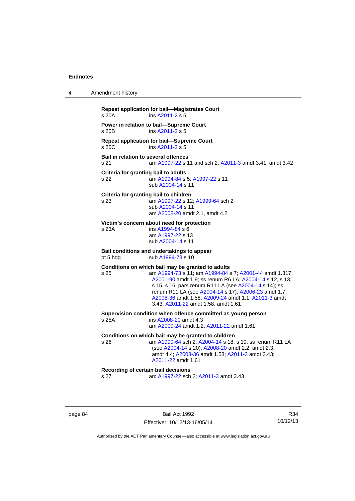| 4 | Amendment history                                   |                                                                                                                                                                                                                                                                                                                                                                                        |
|---|-----------------------------------------------------|----------------------------------------------------------------------------------------------------------------------------------------------------------------------------------------------------------------------------------------------------------------------------------------------------------------------------------------------------------------------------------------|
|   | s 20A                                               | <b>Repeat application for bail-Magistrates Court</b><br>ins A2011-2 s 5                                                                                                                                                                                                                                                                                                                |
|   | s 20B                                               | Power in relation to bail-Supreme Court<br>ins A2011-2 s 5                                                                                                                                                                                                                                                                                                                             |
|   | s 20C                                               | <b>Repeat application for bail-Supreme Court</b><br>ins A2011-2 s 5                                                                                                                                                                                                                                                                                                                    |
|   | <b>Bail in relation to several offences</b><br>s 21 | am A1997-22 s 11 and sch 2; A2011-3 amdt 3.41, amdt 3.42                                                                                                                                                                                                                                                                                                                               |
|   | Criteria for granting bail to adults<br>s 22        | am A1994-84 s 5; A1997-22 s 11<br>sub A2004-14 s 11                                                                                                                                                                                                                                                                                                                                    |
|   | s 23                                                | Criteria for granting bail to children<br>am A1997-22 s 12; A1999-64 sch 2<br>sub A2004-14 s 11<br>am A2008-20 amdt 2.1, amdt 4.2                                                                                                                                                                                                                                                      |
|   | s 23A                                               | Victim's concern about need for protection<br>ins A1994-84 s 6<br>am A1997-22 s 13<br>sub A2004-14 s 11                                                                                                                                                                                                                                                                                |
|   | pt 5 hdg                                            | Bail conditions and undertakings to appear<br>sub A1994-73 s 10                                                                                                                                                                                                                                                                                                                        |
|   | s 25                                                | Conditions on which bail may be granted to adults<br>am A1994-73 s 11; am A1994-84 s 7; A2001-44 amdt 1.317;<br>A2001-90 amdt 1.9; ss renum R6 LA; A2004-14 s 12, s 13,<br>s 15, s 16; pars renum R11 LA (see A2004-14 s 14); ss<br>renum R11 LA (see A2004-14 s 17); A2006-23 amdt 1.7;<br>A2008-36 amdt 1.58; A2009-24 amdt 1.1; A2011-3 amdt<br>3.43; A2011-22 amdt 1.58, amdt 1.61 |
|   | s 25A                                               | Supervision condition when offence committed as young person<br>ins A2008-20 amdt 4.3<br>am A2009-24 amdt 1.2; A2011-22 amdt 1.61                                                                                                                                                                                                                                                      |
|   | s 26                                                | Conditions on which bail may be granted to children<br>am A1999-64 sch 2; A2004-14 s 18, s 19; ss renum R11 LA<br>(see A2004-14 s 20); A2008-20 amdt 2.2, amdt 2.3,<br>amdt 4.4; A2008-36 amdt 1.58; A2011-3 amdt 3.43;<br>A2011-22 amdt 1.61                                                                                                                                          |
|   | s 27                                                | Recording of certain bail decisions<br>am A1997-22 sch 2; A2011-3 amdt 3.43                                                                                                                                                                                                                                                                                                            |
|   |                                                     |                                                                                                                                                                                                                                                                                                                                                                                        |

page 84 Bail Act 1992 Effective: 10/12/13-16/05/14

R34 10/12/13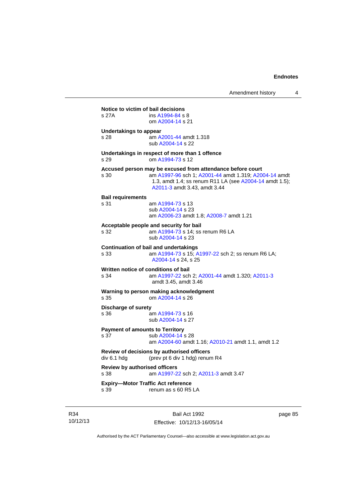| s 27A                                        | Notice to victim of bail decisions<br>ins A1994-84 s 8<br>om A2004-14 s 21                                                                                                                                     |
|----------------------------------------------|----------------------------------------------------------------------------------------------------------------------------------------------------------------------------------------------------------------|
| <b>Undertakings to appear</b><br>s 28        | am A2001-44 amdt 1.318<br>sub A2004-14 s 22                                                                                                                                                                    |
| s 29                                         | Undertakings in respect of more than 1 offence<br>om A1994-73 s 12                                                                                                                                             |
| s 30                                         | Accused person may be excused from attendance before court<br>am A1997-96 sch 1; A2001-44 amdt 1.319; A2004-14 amdt<br>1.3, amdt 1.4; ss renum R11 LA (see A2004-14 amdt 1.5);<br>A2011-3 amdt 3.43, amdt 3.44 |
| <b>Bail requirements</b><br>s 31             | am A1994-73 s 13<br>sub A2004-14 s 23<br>am A2006-23 amdt 1.8; A2008-7 amdt 1.21                                                                                                                               |
| s 32                                         | Acceptable people and security for bail<br>am A1994-73 s 14; ss renum R6 LA<br>sub A2004-14 s 23                                                                                                               |
| s 33                                         | <b>Continuation of bail and undertakings</b><br>am A1994-73 s 15; A1997-22 sch 2; ss renum R6 LA;<br>A2004-14 s 24, s 25                                                                                       |
| s 34                                         | Written notice of conditions of bail<br>am A1997-22 sch 2; A2001-44 amdt 1.320; A2011-3<br>amdt 3.45, amdt 3.46                                                                                                |
| s 35                                         | Warning to person making acknowledgment<br>om A2004-14 s 26                                                                                                                                                    |
| Discharge of surety<br>s 36                  | am A1994-73 s 16<br>sub A2004-14 s 27                                                                                                                                                                          |
| s 37                                         | <b>Payment of amounts to Territory</b><br>sub A2004-14 s 28<br>am A2004-60 amdt 1.16; A2010-21 amdt 1.1, amdt 1.2                                                                                              |
| div 6.1 hdg                                  | Review of decisions by authorised officers<br>(prev pt 6 div 1 hdg) renum R4                                                                                                                                   |
| <b>Review by authorised officers</b><br>s 38 | am A1997-22 sch 2; A2011-3 amdt 3.47                                                                                                                                                                           |
| s 39                                         | <b>Expiry-Motor Traffic Act reference</b><br>renum as s 60 R5 LA                                                                                                                                               |

R34 10/12/13

Bail Act 1992 Effective: 10/12/13-16/05/14 page 85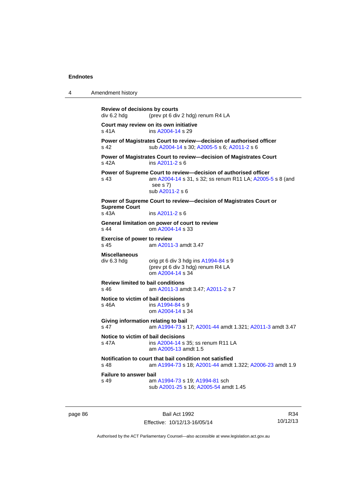4 Amendment history

```
Review of decisions by courts 
div 6.2 hdg (prev pt 6 div 2 hdg) renum R4 LA 
Court may review on its own initiative
A2004-14 s 29
Power of Magistrates Court to review—decision of authorised officer 
s 42 sub A2004-14 s 30; A2005-5 s 6; A2011-2 s 6 
Power of Magistrates Court to review—decision of Magistrates Court 
s 42A ins A2011-2 s 6 
Power of Supreme Court to review—decision of authorised officer 
s 43 am A2004-14 s 31, s 32; ss renum R11 LA; A2005-5 s 8 (and 
                  see s 7)
                  sub A2011-2 s 6 
Power of Supreme Court to review—decision of Magistrates Court or 
Supreme Court 
s 43A ins A2011-2 s 6 
General limitation on power of court to review
s 44 om A2004-14 s 33 
Exercise of power to review 
s 45 am A2011-3 amdt 3.47 
Miscellaneous 
div 6.3 hdg orig pt 6 div 3 hdg ins A1994-84 s 9
                 (prev pt 6 div 3 hdg) renum R4 LA 
                  om A2004-14 s 34 
Review limited to bail conditions 
                  A2011-3 A2011-2 s 7
Notice to victim of bail decisions
s 46A ins A1994-84 s 9
                  om A2004-14 s 34 
Giving information relating to bail
s 47 am A1994-73 s 17; A2001-44 amdt 1.321; A2011-3 amdt 3.47 
Notice to victim of bail decisions<br>s 47A ins A2004-14 s
                 A2004-14 s 35; ss renum R11 LA
                  am A2005-13 amdt 1.5
Notification to court that bail condition not satisfied
s 48 am A1994-73 s 18; A2001-44 amdt 1.322; A2006-23 amdt 1.9 
Failure to answer bail<br>s 49 am
                  A1994-73A1994-81 sch
                  sub A2001-25 s 16; A2005-54 amdt 1.45
```
page 86 Bail Act 1992 Effective: 10/12/13-16/05/14

R34 10/12/13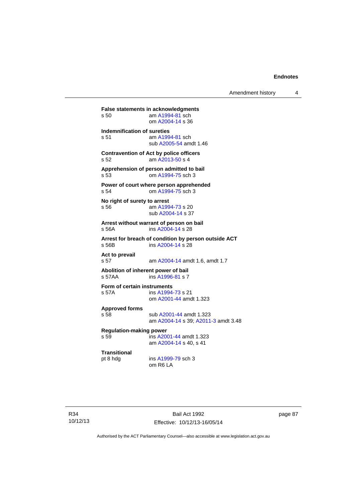**False statements in acknowledgments**<br>s 50 am A1994-81 sch am  $A1994-81$  sch om [A2004-14](http://www.legislation.act.gov.au/a/2004-14) s 36 **Indemnification of sureties** s 51 am [A1994-81](http://www.legislation.act.gov.au/a/1994-81) sch sub [A2005-54](http://www.legislation.act.gov.au/a/2005-54) amdt 1.46 **Contravention of Act by police officers**  s 52 am [A2013-50](http://www.legislation.act.gov.au/a/2013-50) s 4 **Apprehension of person admitted to bail** s 53 om [A1994-75](http://www.legislation.act.gov.au/a/1994-75) sch 3 **Power of court where person apprehended** s 54 om [A1994-75](http://www.legislation.act.gov.au/a/1994-75) sch 3 **No right of surety to arrest** s 56 am [A1994-73](http://www.legislation.act.gov.au/a/1994-73) s 20 sub [A2004-14](http://www.legislation.act.gov.au/a/2004-14) s 37 **Arrest without warrant of person on bail** s 56A ins [A2004-14](http://www.legislation.act.gov.au/a/2004-14) s 28 **Arrest for breach of condition by person outside ACT** s 56B ins [A2004-14](http://www.legislation.act.gov.au/a/2004-14) s 28 **Act to prevail**  s 57 am [A2004-14](http://www.legislation.act.gov.au/a/2004-14) amdt 1.6, amdt 1.7 **Abolition of inherent power of bail** s 57AA ins [A1996-81](http://www.legislation.act.gov.au/a/1996-81) s 7 **Form of certain instruments** s 57A ins [A1994-73](http://www.legislation.act.gov.au/a/1994-73) s 21 om [A2001-44](http://www.legislation.act.gov.au/a/2001-44) amdt 1.323 **Approved forms**  s 58 sub [A2001-44](http://www.legislation.act.gov.au/a/2001-44) amdt 1.323 am [A2004-14](http://www.legislation.act.gov.au/a/2004-14) s 39; [A2011-3](http://www.legislation.act.gov.au/a/2011-3) amdt 3.48 **Regulation-making power**  s 59 ins [A2001-44](http://www.legislation.act.gov.au/a/2001-44) amdt 1.323 am [A2004-14](http://www.legislation.act.gov.au/a/2004-14) s 40, s 41 **Transitional** pt 8 hdg ins [A1999-79](http://www.legislation.act.gov.au/a/1999-79) sch 3 om R6 LA

R34 10/12/13

Bail Act 1992 Effective: 10/12/13-16/05/14 page 87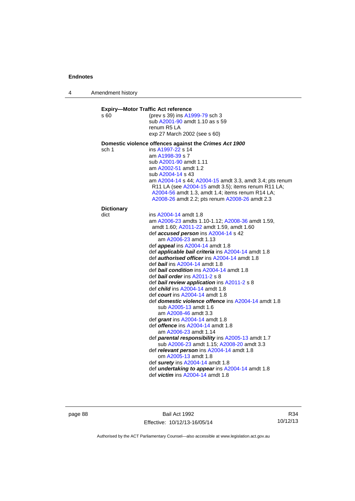4 Amendment history

| (prev s 39) ins A1999-79 sch 3<br>sub A2001-90 amdt 1.10 as s 59<br>renum R5 LA<br>exp 27 March 2002 (see s 60)<br>Domestic violence offences against the Crimes Act 1900<br>ins A1997-22 s 14<br>am A1998-39 s 7<br>sub A2001-90 amdt 1.11<br>am A2002-51 amdt 1.2<br>sub A2004-14 s 43<br>am A2004-14 s 44; A2004-15 amdt 3.3, amdt 3.4; pts renum<br>R11 LA (see A2004-15 amdt 3.5); items renum R11 LA;<br>A2004-56 amdt 1.3, amdt 1.4; items renum R14 LA;<br>A2008-26 amdt 2.2; pts renum A2008-26 amdt 2.3 |
|-------------------------------------------------------------------------------------------------------------------------------------------------------------------------------------------------------------------------------------------------------------------------------------------------------------------------------------------------------------------------------------------------------------------------------------------------------------------------------------------------------------------|
|                                                                                                                                                                                                                                                                                                                                                                                                                                                                                                                   |
|                                                                                                                                                                                                                                                                                                                                                                                                                                                                                                                   |
|                                                                                                                                                                                                                                                                                                                                                                                                                                                                                                                   |
|                                                                                                                                                                                                                                                                                                                                                                                                                                                                                                                   |
|                                                                                                                                                                                                                                                                                                                                                                                                                                                                                                                   |
|                                                                                                                                                                                                                                                                                                                                                                                                                                                                                                                   |
|                                                                                                                                                                                                                                                                                                                                                                                                                                                                                                                   |
|                                                                                                                                                                                                                                                                                                                                                                                                                                                                                                                   |
|                                                                                                                                                                                                                                                                                                                                                                                                                                                                                                                   |
|                                                                                                                                                                                                                                                                                                                                                                                                                                                                                                                   |
|                                                                                                                                                                                                                                                                                                                                                                                                                                                                                                                   |
|                                                                                                                                                                                                                                                                                                                                                                                                                                                                                                                   |
| ins A2004-14 amdt 1.8                                                                                                                                                                                                                                                                                                                                                                                                                                                                                             |
| am A2006-23 amdts 1.10-1.12; A2008-36 amdt 1.59,                                                                                                                                                                                                                                                                                                                                                                                                                                                                  |
| amdt 1.60; A2011-22 amdt 1.59, amdt 1.60                                                                                                                                                                                                                                                                                                                                                                                                                                                                          |
| def accused person ins A2004-14 s 42                                                                                                                                                                                                                                                                                                                                                                                                                                                                              |
| am A2006-23 amdt 1.13                                                                                                                                                                                                                                                                                                                                                                                                                                                                                             |
| def appeal ins A2004-14 amdt 1.8                                                                                                                                                                                                                                                                                                                                                                                                                                                                                  |
| def <i>applicable bail criteria</i> ins A2004-14 amdt 1.8                                                                                                                                                                                                                                                                                                                                                                                                                                                         |
| def <b>authorised officer</b> ins A2004-14 amdt 1.8                                                                                                                                                                                                                                                                                                                                                                                                                                                               |
| def bail ins A2004-14 amdt 1.8                                                                                                                                                                                                                                                                                                                                                                                                                                                                                    |
| def <b>bail condition</b> ins A2004-14 amdt 1.8                                                                                                                                                                                                                                                                                                                                                                                                                                                                   |
| def <b>bail order</b> ins $A2011-2 s 8$                                                                                                                                                                                                                                                                                                                                                                                                                                                                           |
| def bail review application ins A2011-2 s 8                                                                                                                                                                                                                                                                                                                                                                                                                                                                       |
| def <i>child</i> ins A2004-14 amdt 1.8<br>def <i>court</i> ins A2004-14 amdt 1.8                                                                                                                                                                                                                                                                                                                                                                                                                                  |
| def domestic violence offence ins A2004-14 amdt 1.8                                                                                                                                                                                                                                                                                                                                                                                                                                                               |
| sub A2005-13 amdt 1.6                                                                                                                                                                                                                                                                                                                                                                                                                                                                                             |
| am A2008-46 amdt 3.3                                                                                                                                                                                                                                                                                                                                                                                                                                                                                              |
| def grant ins A2004-14 amdt 1.8                                                                                                                                                                                                                                                                                                                                                                                                                                                                                   |
| def <i>offence</i> ins A2004-14 amdt 1.8                                                                                                                                                                                                                                                                                                                                                                                                                                                                          |
| am A2006-23 amdt 1.14                                                                                                                                                                                                                                                                                                                                                                                                                                                                                             |
| def parental responsibility ins A2005-13 amdt 1.7                                                                                                                                                                                                                                                                                                                                                                                                                                                                 |
| sub A2006-23 amdt 1.15; A2008-20 amdt 3.3                                                                                                                                                                                                                                                                                                                                                                                                                                                                         |
| def relevant person ins A2004-14 amdt 1.8                                                                                                                                                                                                                                                                                                                                                                                                                                                                         |
| om A2005-13 amdt 1.8                                                                                                                                                                                                                                                                                                                                                                                                                                                                                              |
|                                                                                                                                                                                                                                                                                                                                                                                                                                                                                                                   |
|                                                                                                                                                                                                                                                                                                                                                                                                                                                                                                                   |
| def surety ins A2004-14 amdt 1.8<br>def <i>undertaking to appear</i> ins A2004-14 amdt 1.8                                                                                                                                                                                                                                                                                                                                                                                                                        |
|                                                                                                                                                                                                                                                                                                                                                                                                                                                                                                                   |

page 88 Bail Act 1992 Effective: 10/12/13-16/05/14

R34 10/12/13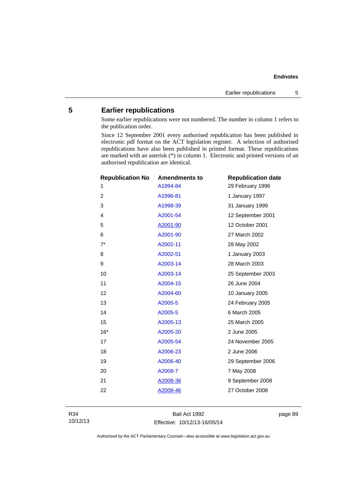## **5 Earlier republications**

Some earlier republications were not numbered. The number in column 1 refers to the publication order.

Since 12 September 2001 every authorised republication has been published in electronic pdf format on the ACT legislation register. A selection of authorised republications have also been published in printed format. These republications are marked with an asterisk (\*) in column 1. Electronic and printed versions of an authorised republication are identical.

| <b>Republication No</b> | <b>Amendments to</b> | <b>Republication date</b> |
|-------------------------|----------------------|---------------------------|
| 1                       | A1994-84             | 29 February 1996          |
| 2                       | A1996-81             | 1 January 1997            |
| 3                       | A1998-39             | 31 January 1999           |
| 4                       | A2001-54             | 12 September 2001         |
| 5                       | A2001-90             | 12 October 2001           |
| 6                       | A2001-90             | 27 March 2002             |
| $7^*$                   | A2002-11             | 28 May 2002               |
| 8                       | A2002-51             | 1 January 2003            |
| 9                       | A2003-14             | 28 March 2003             |
| 10                      | A2003-14             | 25 September 2003         |
| 11                      | A2004-15             | 26 June 2004              |
| 12                      | A2004-60             | 10 January 2005           |
| 13                      | A2005-5              | 24 February 2005          |
| 14                      | A2005-5              | 6 March 2005              |
| 15                      | A2005-13             | 25 March 2005             |
| $16*$                   | A2005-20             | 2 June 2005               |
| 17                      | A2005-54             | 24 November 2005          |
| 18                      | A2006-23             | 2 June 2006               |
| 19                      | A2006-40             | 29 September 2006         |
| 20                      | A2008-7              | 7 May 2008                |
| 21                      | A2008-36             | 9 September 2008          |
| 22                      | A2008-46             | 27 October 2008           |
|                         |                      |                           |

Bail Act 1992 Effective: 10/12/13-16/05/14 page 89